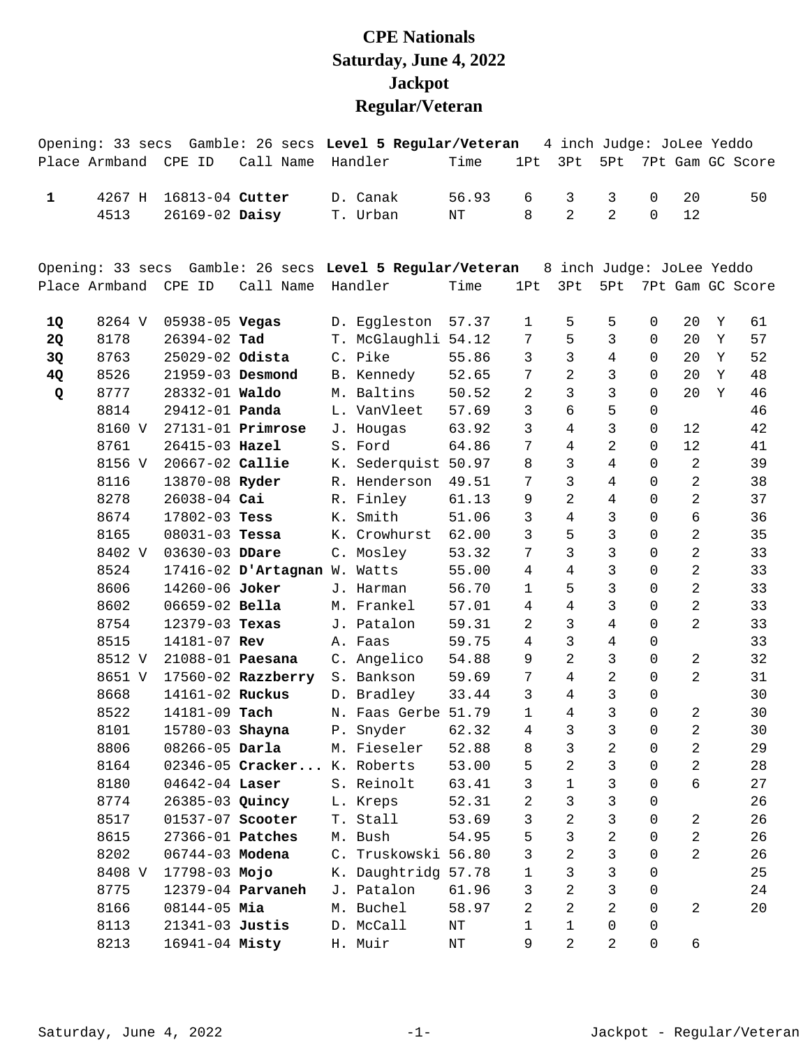## **CPE Nationals Saturday, June 4, 2022 Jackpot Regular/Veteran**

|              |                      |                         |                              | Opening: 33 secs Gamble: 26 secs Level 5 Regular/Veteran |           |                |                | 4 inch Judge: JoLee Yeddo |                     |                |   |                  |
|--------------|----------------------|-------------------------|------------------------------|----------------------------------------------------------|-----------|----------------|----------------|---------------------------|---------------------|----------------|---|------------------|
|              | Place Armband CPE ID |                         | Call Name                    | Handler                                                  | Time      | 1Pt            | 3Pt            | 5Pt                       |                     |                |   | 7Pt Gam GC Score |
| $\mathbf{1}$ | 4267 H               | 16813-04 Cutter         |                              | D. Canak                                                 | 56.93     | 6              | 3              | 3                         | $\mathbf 0$         | 20             |   | 50               |
|              | 4513                 | 26169-02 Daisy          |                              | T. Urban                                                 | $\rm{NT}$ | 8              | $\overline{2}$ | $\overline{a}$            | $\mathbf 0$         | 12             |   |                  |
|              |                      |                         |                              |                                                          |           |                |                |                           |                     |                |   |                  |
|              |                      |                         |                              | Opening: 33 secs Gamble: 26 secs Level 5 Regular/Veteran |           |                |                | 8 inch Judge: JoLee Yeddo |                     |                |   |                  |
|              | Place Armband        | CPE ID                  | Call Name                    | Handler                                                  | Time      | 1Pt            | 3Pt            | 5Pt                       |                     |                |   | 7Pt Gam GC Score |
| 1Q           | 8264 V               | 05938-05 Vegas          |                              | D. Eggleston                                             | 57.37     | 1              | 5              | 5                         | $\mathbf 0$         | 20             | Y | 61               |
| 2Q           | 8178                 | 26394-02 Tad            |                              | T. McGlaughli 54.12                                      |           | 7              | 5              | $\mathbf{3}$              | 0                   | 20             | Y | 57               |
| 3Q           | 8763                 | 25029-02 Odista         |                              | C. Pike                                                  | 55.86     | 3              | 3              | 4                         | $\Omega$            | 20             | Y | 52               |
| 4Q           | 8526                 | 21959-03 Desmond        |                              | B. Kennedy                                               | 52.65     | 7              | 2              | $\mathbf{3}$              | 0                   | 20             | Y | 48               |
| Q            | 8777                 | 28332-01 Waldo          |                              | M. Baltins                                               | 50.52     | 2              | 3              | $\mathbf{3}$              | 0                   | 20             | Y | 46               |
|              | 8814                 | 29412-01 Panda          |                              | L. VanVleet                                              | 57.69     | 3              | б              | 5                         | 0                   |                |   | 46               |
|              | 8160 V               |                         | $27131 - 01$ Primrose        | J. Hougas                                                | 63.92     | 3              | 4              | 3                         | 0                   | 12             |   | 42               |
|              | 8761                 | 26415-03 Hazel          |                              | S. Ford                                                  | 64.86     | 7              | 4              | $\overline{a}$            | $\Omega$            | 12             |   | 41               |
|              | 8156 V               | 20667-02 Callie         |                              | K. Sederquist 50.97                                      |           | 8              | 3              | 4                         | 0                   | $\overline{2}$ |   | 39               |
|              | 8116                 | 13870-08 Ryder          |                              | R. Henderson                                             | 49.51     | 7              | $\mathsf{3}$   | $\overline{4}$            | 0                   | $\overline{a}$ |   | 38               |
|              | 8278                 | 26038-04 Cai            |                              | R. Finley                                                | 61.13     | 9              | 2              | $\overline{4}$            | 0                   | $\overline{a}$ |   | 37               |
|              | 8674                 | $17802 - 03$ Tess       |                              | K. Smith                                                 | 51.06     | 3              | 4              | 3                         | 0                   | 6              |   | 36               |
|              | 8165                 | $08031 - 03$ Tessa      |                              | K. Crowhurst                                             | 62.00     | 3              | 5              | $\mathbf{3}$              | 0                   | $\overline{2}$ |   | 35               |
|              | 8402 V               | 03630-03 DDare          |                              | C. Mosley                                                | 53.32     | 7              | 3              | $\mathfrak{Z}$            | 0                   | $\overline{2}$ |   | 33               |
|              | 8524                 |                         | 17416-02 D'Artagnan W. Watts |                                                          | 55.00     | 4              | 4              | 3                         | 0                   | $\overline{2}$ |   | 33               |
|              | 8606                 | 14260-06 Joker          |                              | J. Harman                                                | 56.70     | 1              | 5              | 3                         | 0                   | $\overline{2}$ |   | 33               |
|              | 8602                 | 06659-02 Bella          |                              | M. Frankel                                               | 57.01     | 4              | 4              | $\mathbf{3}$              | 0                   | $\overline{a}$ |   | 33               |
|              | 8754                 | 12379-03 Texas          |                              | J. Patalon                                               | 59.31     | 2              | 3              | $\overline{4}$            | 0                   | $\overline{2}$ |   | 33               |
|              | 8515                 | 14181-07 Rev            |                              | A. Faas                                                  | 59.75     | 4              | 3              | $\overline{4}$            | 0                   |                |   | 33               |
|              | 8512 V               | 21088-01 Paesana        |                              | C. Angelico                                              | 54.88     | 9              | $\overline{a}$ | 3                         | 0                   | 2              |   | 32               |
|              | 8651 V               |                         | $17560 - 02$ Razzberry       | S. Bankson                                               | 59.69     | 7              | 4              | $\overline{a}$            | 0                   | $\overline{2}$ |   | 31               |
|              | 8668                 | 14161-02 Ruckus         |                              | D. Bradley                                               | 33.44     | 3              | 4              | $\mathsf{3}$              | 0                   |                |   | 30               |
|              | 8522                 | 14181-09 Tach           |                              | N. Faas Gerbe 51.79                                      |           | $\mathbf 1$    | $\overline{4}$ | $\mathsf{3}$              | 0                   | $\overline{a}$ |   | 30               |
|              | 8101                 | 15780-03 Shayna         |                              | P. Snyder                                                | 62.32     | 4              | 3              | 3                         | $\Omega$            | $\mathcal{L}$  |   | 30               |
|              | 8806                 | $08266 - 05$ Darla      |                              | M. Fieseler                                              | 52.88     | 8              | 3              | 2                         | 0                   | 2              |   | 29               |
|              | 8164                 |                         | 02346-05 Cracker K. Roberts  |                                                          | 53.00     | 5              | $\overline{a}$ | $\mathbf{3}$              | $\mathbf 0$         | $\overline{a}$ |   | 28               |
|              | 8180                 | $04642 - 04$ Laser      |                              | S. Reinolt                                               | 63.41     | 3              | 1              | 3                         | 0                   | 6              |   | 27               |
|              | 8774                 | 26385-03 Quincy         |                              | L. Kreps                                                 | 52.31     | 2              | 3              | 3                         | $\mathbf 0$         |                |   | 26               |
|              | 8517                 | 01537-07 Scooter        |                              | T. Stall                                                 | 53.69     | 3              | $\overline{a}$ | 3                         | 0                   | $\overline{a}$ |   | 26               |
|              | 8615                 | 27366-01 <b>Patches</b> |                              | M. Bush                                                  | 54.95     | 5              | 3              | $\overline{2}$            | 0                   | $\overline{a}$ |   | 26               |
|              | 8202                 | 06744-03 Modena         |                              | C. Truskowski 56.80                                      |           | 3              | $\overline{c}$ | 3                         | 0                   | $\overline{a}$ |   | 26               |
|              | 8408 V               | 17798-03 Mojo           |                              | K. Daughtridg 57.78                                      |           | 1              | 3              | 3                         | 0                   |                |   | 25               |
|              | 8775                 |                         | 12379-04 <b>Parvaneh</b>     | J. Patalon                                               | 61.96     | 3              | $\overline{a}$ | 3                         | 0                   |                |   | 24               |
|              | 8166                 | $08144 - 05$ Mia        |                              | M. Buchel                                                | 58.97     | $\overline{2}$ | 2              | $\overline{a}$            | 0                   | 2              |   | 20               |
|              | 8113                 | 21341-03 Justis         |                              | D. McCall                                                | $\rm{NT}$ | 1              | 1              | 0                         | 0                   |                |   |                  |
|              | 8213                 | 16941-04 Misty          |                              | H. Muir                                                  | ΝT        | 9              | $\overline{2}$ | $\overline{2}$            | $\mathsf{O}\xspace$ | 6              |   |                  |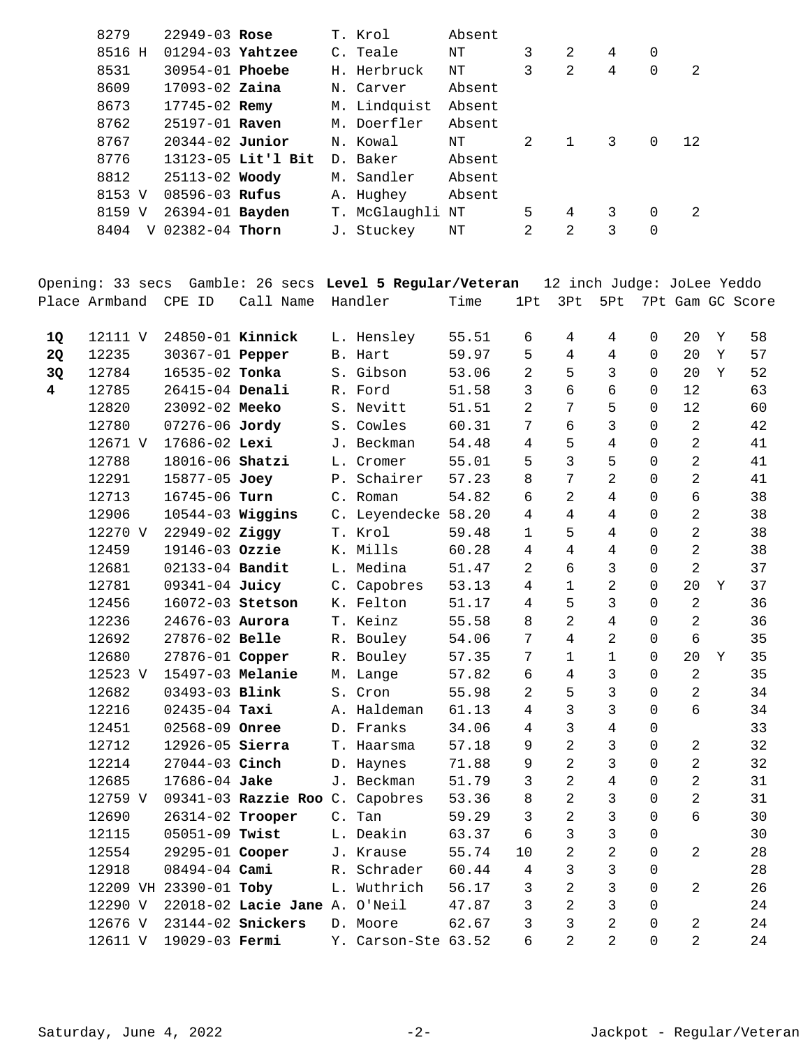| 8279   |   | $22949 - 03$ Rose      |                    | T. Krol          | Absent |               |   |   |          |    |
|--------|---|------------------------|--------------------|------------------|--------|---------------|---|---|----------|----|
| 8516 H |   | $01294-03$ Yahtzee     |                    | C. Teale         | ΝT     | 3             | 2 | 4 | 0        |    |
| 8531   |   | $30954 - 01$ Phoebe    |                    | H. Herbruck      | NΤ     | 3             | 2 | 4 | $\Omega$ | 2  |
| 8609   |   | $17093 - 02$ Zaina     |                    | N. Carver        | Absent |               |   |   |          |    |
| 8673   |   | $17745 - 02$ Remy      |                    | M. Lindquist     | Absent |               |   |   |          |    |
| 8762   |   | 25197-01 Raven         |                    | M. Doerfler      | Absent |               |   |   |          |    |
| 8767   |   | $20344 - 02$ Junior    |                    | N. Kowal         | ΝT     | $\mathcal{L}$ |   | 3 | 0        | 12 |
| 8776   |   |                        | 13123-05 Lit'l Bit | D. Baker         | Absent |               |   |   |          |    |
| 8812   |   | $25113 - 02$ Woody     |                    | M. Sandler       | Absent |               |   |   |          |    |
| 8153 V |   | $08596 - 03$ Rufus     |                    | A. Hughey        | Absent |               |   |   |          |    |
| 8159 V |   | 26394-01 <b>Bayden</b> |                    | T. McGlaughli NT |        | 5             | 4 | 3 | 0        | 2  |
| 8404   | V | 02382-04 Thorn         |                    | J. Stuckey       | NΤ     | 2             | 2 | 3 | 0        |    |
|        |   |                        |                    |                  |        |               |   |   |          |    |

Opening: 33 secs Gamble: 26 secs **Level 5 Regular/Veteran** 12 inch Judge: JoLee Yeddo Place Armband CPE ID Call Name Handler Time 1Pt 3Pt 5Pt 7Pt Gam GC Score

| 1Q                      | 12111 V | 24850-01 Kinnick       |                        |                | L. Hensley       | 55.51 | 6              | 4              | 4              | $\Omega$    | 20             | Y | 58 |
|-------------------------|---------|------------------------|------------------------|----------------|------------------|-------|----------------|----------------|----------------|-------------|----------------|---|----|
| 2Q                      | 12235   | 30367-01 Pepper        |                        |                | B. Hart          | 59.97 | 5              | 4              | 4              | $\Omega$    | 20             | Y | 57 |
| 3Q                      | 12784   | 16535-02 Tonka         |                        |                | S. Gibson        | 53.06 | $\overline{2}$ | 5              | 3              | 0           | 20             | Y | 52 |
| $\overline{\mathbf{4}}$ | 12785   | 26415-04 Denali        |                        |                | R. Ford          | 51.58 | 3              | б              | 6              | $\Omega$    | 12             |   | 63 |
|                         | 12820   | 23092-02 Meeko         |                        |                | S. Nevitt        | 51.51 | $\overline{2}$ | 7              | 5              | $\Omega$    | 12             |   | 60 |
|                         | 12780   | 07276-06 Jordy         |                        | $S$ .          | Cowles           | 60.31 | 7              | б              | 3              | $\Omega$    | 2              |   | 42 |
|                         | 12671 V | 17686-02 Lexi          |                        |                | J. Beckman       | 54.48 | 4              | 5              | 4              | $\Omega$    | $\overline{2}$ |   | 41 |
|                         | 12788   | 18016-06 Shatzi        |                        |                | L. Cromer        | 55.01 | 5              | 3              | 5              | $\Omega$    | $\overline{2}$ |   | 41 |
|                         | 12291   | 15877-05 Joey          |                        |                | P. Schairer      | 57.23 | 8              | 7              | 2              | $\Omega$    | $\overline{2}$ |   | 41 |
|                         | 12713   | 16745-06 Turn          |                        |                | C. Roman         | 54.82 | 6              | $\overline{2}$ | 4              | $\Omega$    | 6              |   | 38 |
|                         | 12906   | 10544-03 Wiggins       |                        |                | C. Leyendecke    | 58.20 | 4              | 4              | 4              | $\Omega$    | $\overline{2}$ |   | 38 |
|                         | 12270 V | 22949-02 Ziggy         |                        |                | T. Krol          | 59.48 | $\mathbf{1}$   | 5              | $\overline{4}$ | $\Omega$    | $\overline{2}$ |   | 38 |
|                         | 12459   | 19146-03 Ozzie         |                        |                | K. Mills         | 60.28 | 4              | 4              | 4              | $\Omega$    | $\overline{2}$ |   | 38 |
|                         | 12681   | 02133-04 Bandit        |                        |                | L. Medina        | 51.47 | $\overline{a}$ | 6              | 3              | $\Omega$    | $\overline{2}$ |   | 37 |
|                         | 12781   | 09341-04 Juicy         |                        | $\mathsf{C}$ . | Capobres         | 53.13 | 4              | $\mathbf{1}$   | $\overline{2}$ | $\Omega$    | 20             | Y | 37 |
|                         | 12456   | 16072-03 Stetson       |                        |                | K. Felton        | 51.17 | 4              | 5              | 3              | $\Omega$    | $\overline{2}$ |   | 36 |
|                         | 12236   | 24676-03 Aurora        |                        |                | T. Keinz         | 55.58 | 8              | $\overline{2}$ | 4              | $\Omega$    | $\overline{2}$ |   | 36 |
|                         | 12692   | 27876-02 Belle         |                        |                | R. Bouley        | 54.06 | 7              | 4              | $\overline{2}$ | $\Omega$    | 6              |   | 35 |
|                         | 12680   | 27876-01 Copper        |                        |                | R. Bouley        | 57.35 | 7              | $\mathbf 1$    | $\mathbf{1}$   | $\Omega$    | 20             | Y | 35 |
|                         | 12523 V | 15497-03 Melanie       |                        |                | M. Lange         | 57.82 | 6              | $\overline{4}$ | 3              | $\Omega$    | $\overline{2}$ |   | 35 |
|                         | 12682   | 03493-03 Blink         |                        |                | S. Cron          | 55.98 | $\overline{2}$ | 5              | 3              | $\Omega$    | $\overline{2}$ |   | 34 |
|                         | 12216   | $02435 - 04$ Taxi      |                        |                | A. Haldeman      | 61.13 | 4              | 3              | 3              | $\Omega$    | 6              |   | 34 |
|                         | 12451   | 02568-09 Onree         |                        |                | D. Franks        | 34.06 | $\overline{4}$ | 3              | $\overline{4}$ | $\Omega$    |                |   | 33 |
|                         | 12712   | 12926-05 Sierra        |                        |                | T. Haarsma       | 57.18 | 9              | $\overline{2}$ | 3              | $\Omega$    | $\overline{a}$ |   | 32 |
|                         | 12214   | 27044-03 Cinch         |                        |                | D. Haynes        | 71.88 | 9              | $\overline{2}$ | 3              | $\Omega$    | $\overline{2}$ |   | 32 |
|                         | 12685   | 17686-04 Jake          |                        |                | J. Beckman       | 51.79 | 3              | 2              | 4              | $\Omega$    | $\overline{2}$ |   | 31 |
|                         | 12759 V |                        | 09341-03 Razzie Roo C. |                | Capobres         | 53.36 | 8              | $\overline{2}$ | 3              | $\mathbf 0$ | $\overline{2}$ |   | 31 |
|                         | 12690   | 26314-02 Trooper       |                        | $C$ .          | Tan              | 59.29 | 3              | $\overline{2}$ | 3              | $\Omega$    | 6              |   | 30 |
|                         | 12115   | 05051-09 Twist         |                        |                | L. Deakin        | 63.37 | 6              | 3              | 3              | $\mathbf 0$ |                |   | 30 |
|                         | 12554   | 29295-01 Cooper        |                        |                | J. Krause        | 55.74 | 10             | $\overline{2}$ | $\overline{2}$ | $\Omega$    | 2              |   | 28 |
|                         | 12918   | $08494 - 04$ Cami      |                        |                | R. Schrader      | 60.44 | 4              | 3              | 3              | $\mathbf 0$ |                |   | 28 |
|                         |         | 12209 VH 23390-01 Toby |                        |                | L. Wuthrich      | 56.17 | 3              | 2              | 3              | $\Omega$    | $\overline{a}$ |   | 26 |
|                         | 12290 V |                        | 22018-02 Lacie Jane A. |                | O'Neil           | 47.87 | 3              | 2              | 3              | 0           |                |   | 24 |
|                         | 12676 V |                        | 23144-02 Snickers      |                | D. Moore         | 62.67 | 3              | 3              | $\overline{2}$ | $\Omega$    | 2              |   | 24 |
|                         | 12611 V | 19029-03 Fermi         |                        | Υ.             | Carson-Ste 63.52 |       | 6              | 2              | $\overline{2}$ | $\Omega$    | $\overline{2}$ |   | 24 |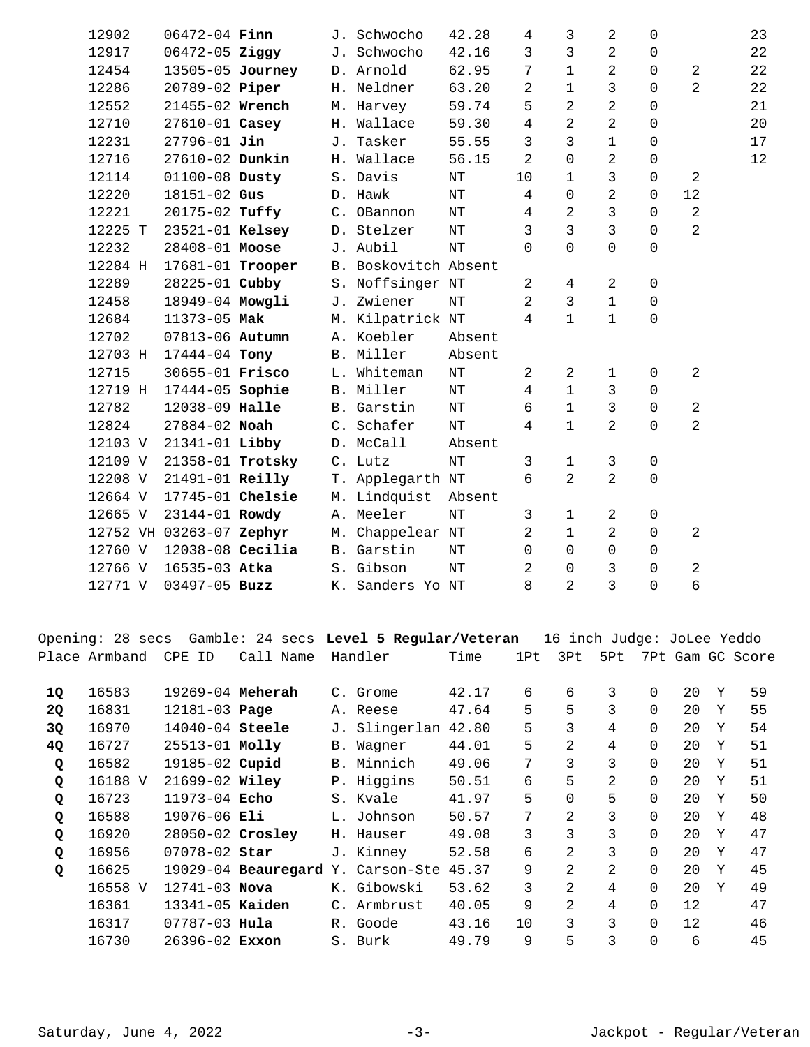| 12902   | $06472 - 04$ Finn        |  | J. Schwocho          | 42.28     | 4              | 3              | $\overline{2}$ | $\Omega$    |                | 23 |
|---------|--------------------------|--|----------------------|-----------|----------------|----------------|----------------|-------------|----------------|----|
| 12917   | $06472 - 05$ Ziggy       |  | J. Schwocho          | 42.16     | 3              | 3              | 2              | 0           |                | 22 |
| 12454   | 13505-05 Journey         |  | D. Arnold            | 62.95     | 7              | $\mathbf 1$    | 2              | $\mathbf 0$ | $\overline{a}$ | 22 |
| 12286   | 20789-02 Piper           |  | H. Neldner           | 63.20     | $\overline{2}$ | 1              | 3              | $\Omega$    | $\overline{2}$ | 22 |
| 12552   | 21455-02 Wrench          |  | M. Harvey            | 59.74     | 5              | 2              | $\overline{2}$ | $\Omega$    |                | 21 |
| 12710   | 27610-01 Casey           |  | H. Wallace           | 59.30     | 4              | 2              | $\overline{2}$ | $\Omega$    |                | 20 |
| 12231   | $27796 - 01$ Jin         |  | J. Tasker            | 55.55     | $\mathbf{3}$   | 3              | $\mathbf{1}$   | $\mathbf 0$ |                | 17 |
| 12716   | 27610-02 Dunkin          |  | H. Wallace           | 56.15     | $\overline{a}$ | 0              | 2              | $\mathbf 0$ |                | 12 |
| 12114   | 01100-08 Dusty           |  | S. Davis             | NT        | 10             | $\mathbf{1}$   | 3              | $\Omega$    | 2              |    |
| 12220   | 18151-02 Gus             |  | D. Hawk              | $\rm{NT}$ | $\overline{4}$ | 0              | $\overline{2}$ | $\Omega$    | 12             |    |
| 12221   | 20175-02 Tuffy           |  | C. OBannon           | $\rm{NT}$ | $\overline{4}$ | 2              | 3              | $\Omega$    | 2              |    |
| 12225 T | 23521-01 Kelsey          |  | D. Stelzer           | $\rm{NT}$ | $\mathsf{3}$   | 3              | 3              | $\mathbf 0$ | $\overline{a}$ |    |
| 12232   | 28408-01 Moose           |  | J. Aubil             | NT        | $\Omega$       | $\Omega$       | 0              | $\Omega$    |                |    |
| 12284 H | 17681-01 Trooper         |  | B. Boskovitch Absent |           |                |                |                |             |                |    |
| 12289   | 28225-01 Cubby           |  | S. Noffsinger NT     |           | $\overline{a}$ | 4              | 2              | $\mathbf 0$ |                |    |
| 12458   | 18949-04 Mowgli          |  | J. Zwiener           | $\rm{NT}$ | $\overline{a}$ | $\mathfrak{Z}$ | $\mathbf{1}$   | $\mathbf 0$ |                |    |
| 12684   | 11373-05 Mak             |  | M. Kilpatrick NT     |           | $\overline{4}$ | $\mathbf 1$    | $\mathbf{1}$   | $\mathbf 0$ |                |    |
| 12702   | 07813-06 Autumn          |  | A. Koebler           | Absent    |                |                |                |             |                |    |
| 12703 H | 17444-04 Tony            |  | B. Miller            | Absent    |                |                |                |             |                |    |
| 12715   | 30655-01 Frisco          |  | L. Whiteman          | $\rm{NT}$ | $\overline{2}$ | 2              | $\mathbf{1}$   | $\Omega$    | 2              |    |
| 12719 H | 17444-05 Sophie          |  | B. Miller            | ΝT        | 4              | $\mathbf 1$    | 3              | $\Omega$    |                |    |
| 12782   | 12038-09 Halle           |  | B. Garstin           | ΝT        | 6              | $\mathbf 1$    | 3              | $\mathbf 0$ | 2              |    |
| 12824   | 27884-02 Noah            |  | C. Schafer           | $\rm{NT}$ | $\overline{4}$ | $\mathbf 1$    | $\overline{2}$ | $\Omega$    | $\overline{2}$ |    |
| 12103 V | 21341-01 Libby           |  | D. McCall            | Absent    |                |                |                |             |                |    |
| 12109 V | 21358-01 Trotsky         |  | C. Lutz              | $\rm{NT}$ | 3              | $\mathbf 1$    | 3              | $\mathbf 0$ |                |    |
| 12208 V | 21491-01 Reilly          |  | T. Applegarth NT     |           | 6              | $\overline{2}$ | $\overline{2}$ | $\mathbf 0$ |                |    |
| 12664 V | 17745-01 Chelsie         |  | M. Lindquist         | Absent    |                |                |                |             |                |    |
| 12665 V | 23144-01 Rowdy           |  | A. Meeler            | $\rm{NT}$ | 3              | 1              | $\overline{a}$ | $\mathbf 0$ |                |    |
|         | 12752 VH 03263-07 Zephyr |  | M. Chappelear NT     |           | 2              | 1              | 2              | $\Omega$    | 2              |    |
| 12760 V | $12038-08$ Cecilia       |  | B. Garstin           | $\rm{NT}$ | 0              | 0              | 0              | 0           |                |    |
| 12766 V | 16535-03 Atka            |  | S. Gibson            | $\rm{NT}$ | $\overline{2}$ | 0              | 3              | $\mathbf 0$ | $\overline{2}$ |    |
| 12771 V | 03497-05 Buzz            |  | K. Sanders Yo NT     |           | 8              | $\overline{2}$ | $\overline{3}$ | $\Omega$    | 6              |    |
|         |                          |  |                      |           |                |                |                |             |                |    |

|  |  |  |                                        | Opening: 28 secs Gamble: 24 secs Level 5 Regular/Veteran 16 inch Judge: JoLee Yeddo |  |                              |  |  |
|--|--|--|----------------------------------------|-------------------------------------------------------------------------------------|--|------------------------------|--|--|
|  |  |  | Place Armband CPE ID Call Name Handler | Time                                                                                |  | 1Pt 3Pt 5Pt 7Pt Gam GC Score |  |  |

| 16583   |  |                                                                                                                                                                                                                                                                                 |                     | 42.17                                                                                                                                                                    | 6             | 6              | 3 | $\Omega$ | 20 | Y | 59 |
|---------|--|---------------------------------------------------------------------------------------------------------------------------------------------------------------------------------------------------------------------------------------------------------------------------------|---------------------|--------------------------------------------------------------------------------------------------------------------------------------------------------------------------|---------------|----------------|---|----------|----|---|----|
| 16831   |  |                                                                                                                                                                                                                                                                                 |                     | 47.64                                                                                                                                                                    | 5             | 5              | 3 | $\Omega$ | 20 | Y | 55 |
| 16970   |  |                                                                                                                                                                                                                                                                                 |                     | 42.80                                                                                                                                                                    | 5             | 3              | 4 | $\Omega$ | 20 | Y | 54 |
| 16727   |  |                                                                                                                                                                                                                                                                                 |                     | 44.01                                                                                                                                                                    | 5             | 2              | 4 | $\Omega$ | 20 | Y | 51 |
| 16582   |  |                                                                                                                                                                                                                                                                                 |                     | 49.06                                                                                                                                                                    | 7             | 3              | 3 | $\Omega$ | 20 | Y | 51 |
| 16188 V |  |                                                                                                                                                                                                                                                                                 |                     | 50.51                                                                                                                                                                    | 6             | 5.             | 2 | $\Omega$ | 20 | Y | 51 |
| 16723   |  |                                                                                                                                                                                                                                                                                 |                     | 41.97                                                                                                                                                                    | 5             | 0              | 5 | $\Omega$ | 20 | Y | 50 |
| 16588   |  |                                                                                                                                                                                                                                                                                 |                     | 50.57                                                                                                                                                                    | 7             | 2              | 3 | $\Omega$ | 20 | Y | 48 |
| 16920   |  |                                                                                                                                                                                                                                                                                 |                     | 49.08                                                                                                                                                                    | 3             | 3              | 3 | $\Omega$ | 20 | Y | 47 |
| 16956   |  |                                                                                                                                                                                                                                                                                 |                     | 52.58                                                                                                                                                                    | 6             | 2              | 3 | $\Omega$ | 20 | Y | 47 |
| 16625   |  |                                                                                                                                                                                                                                                                                 |                     | 45.37                                                                                                                                                                    | 9             | 2              | 2 | $\Omega$ | 20 | Y | 45 |
| 16558 V |  |                                                                                                                                                                                                                                                                                 |                     | 53.62                                                                                                                                                                    | 3             | $\mathfrak{D}$ | 4 | $\Omega$ | 20 | Y | 49 |
| 16361   |  | $\mathsf{C}$ .                                                                                                                                                                                                                                                                  | Armbrust            | 40.05                                                                                                                                                                    | 9             | 2              | 4 | $\Omega$ | 12 |   | 47 |
| 16317   |  |                                                                                                                                                                                                                                                                                 |                     | 43.16                                                                                                                                                                    | 10            | 3              | 3 | $\Omega$ | 12 |   | 46 |
| 16730   |  |                                                                                                                                                                                                                                                                                 |                     | 49.79                                                                                                                                                                    | 9             | 5              | 3 | $\Omega$ | 6  |   | 45 |
|         |  | 19269-04 Meherah<br>12181-03 Page<br>14040-04 Steele<br>25513-01 Molly<br>19185-02 Cupid<br>$21699 - 02$ Wiley<br>$11973 - 04$ Echo<br>$19076 - 06$ Eli<br>28050-02 Crosley<br>$07078 - 02$ Star<br>$12741 - 03$ Nova<br>13341-05 Kaiden<br>$07787 - 03$ Hula<br>26396-02 Exxon | 19029-04 Beauregard | C. Grome<br>A. Reese<br>B. Wagner<br>B. Minnich<br>P. Higgins<br>S. Kvale<br>L. Johnson<br>H. Hauser<br>J. Kinney<br>Y. Carson-Ste<br>K. Gibowski<br>R. Goode<br>S. Burk | J. Slingerlan |                |   |          |    |   |    |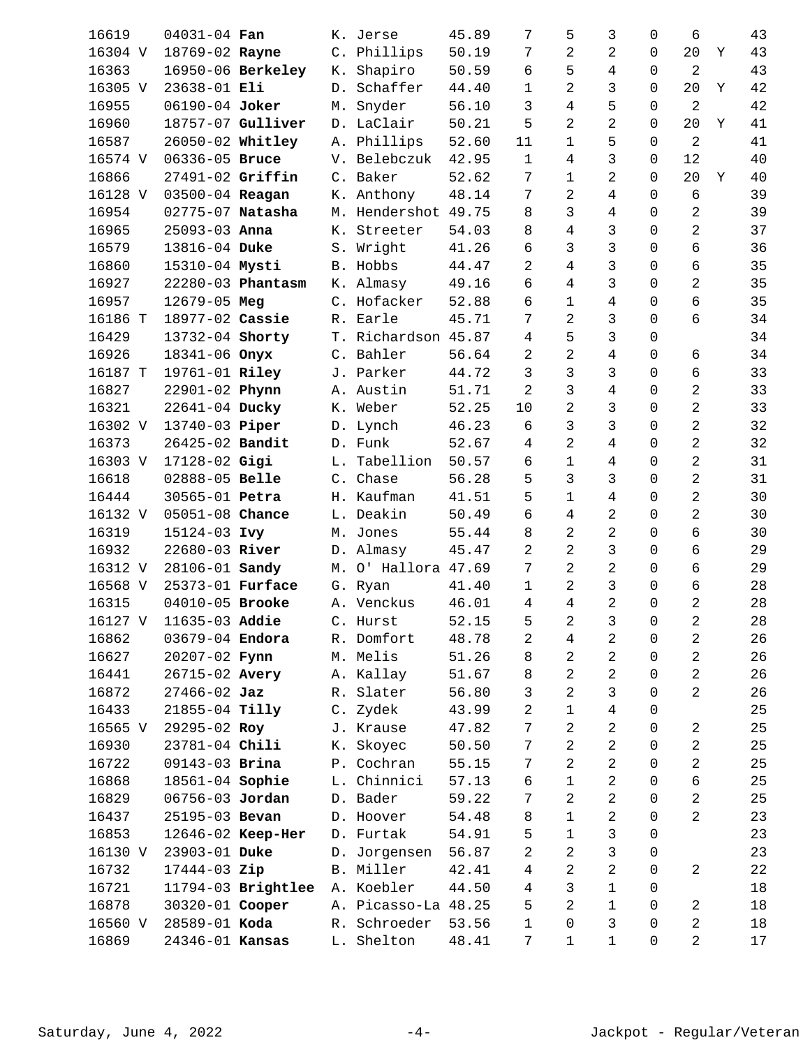| 16619   | 04031-04 Fan           |                    |    | K. Jerse            | 45.89 | 7              | 5              | 3              | $\mathbf 0$    | 6              |   | 43 |
|---------|------------------------|--------------------|----|---------------------|-------|----------------|----------------|----------------|----------------|----------------|---|----|
| 16304 V | 18769-02 Rayne         |                    |    | C. Phillips         | 50.19 | 7              | 2              | 2              | 0              | 20             | Y | 43 |
| 16363   |                        | 16950-06 Berkeley  |    | K. Shapiro          | 50.59 | 6              | 5              | 4              | 0              | $\overline{2}$ |   | 43 |
| 16305 V | 23638-01 Eli           |                    |    | D. Schaffer         | 44.40 | 1              | 2              | 3              | $\Omega$       | 20             | Y | 42 |
| 16955   | 06190-04 Joker         |                    | М. | Snyder              | 56.10 | 3              | 4              | 5              | $\mathbf 0$    | $\overline{2}$ |   | 42 |
| 16960   |                        | 18757-07 Gulliver  |    | D. LaClair          | 50.21 | 5              | 2              | 2              | 0              | 20             | Υ | 41 |
| 16587   | 26050-02 Whitley       |                    |    | A. Phillips         | 52.60 | 11             | 1              | 5              | 0              | $\overline{2}$ |   | 41 |
| 16574 V | 06336-05 Bruce         |                    |    | V. Belebczuk        | 42.95 | $\mathbf{1}$   | 4              | 3              | $\mathbf 0$    | 12             |   | 40 |
| 16866   | 27491-02 Griffin       |                    |    | C. Baker            | 52.62 | 7              | 1              | $\overline{2}$ | $\Omega$       | 20             | Y | 40 |
| 16128 V | 03500-04 Reagan        |                    |    | K. Anthony          | 48.14 | 7              | 2              | $\overline{4}$ | $\Omega$       | 6              |   | 39 |
| 16954   | 02775-07 Natasha       |                    |    | M. Hendershot       | 49.75 | 8              | 3              | 4              | $\Omega$       | $\overline{a}$ |   | 39 |
| 16965   | 25093-03 Anna          |                    |    | K. Streeter         | 54.03 | 8              | 4              | 3              | $\Omega$       | $\overline{2}$ |   | 37 |
| 16579   | 13816-04 Duke          |                    |    | S. Wright           | 41.26 | 6              | 3              | 3              | $\mathbf 0$    | 6              |   | 36 |
| 16860   | 15310-04 Mysti         |                    |    | B. Hobbs            | 44.47 | 2              | 4              | 3              | $\Omega$       | б              |   | 35 |
| 16927   |                        | 22280-03 Phantasm  |    | K. Almasy           | 49.16 | 6              | 4              | 3              | 0              | 2              |   | 35 |
| 16957   | 12679-05 Meg           |                    |    | C. Hofacker         | 52.88 | 6              | 1              | 4              | $\Omega$       | б              |   | 35 |
| 16186 T | 18977-02 Cassie        |                    |    | R. Earle            | 45.71 | 7              | 2              | 3              | $\mathbf 0$    | 6              |   | 34 |
| 16429   | 13732-04 Shorty        |                    |    | T. Richardson 45.87 |       | 4              | 5              | 3              | $\mathbf 0$    |                |   | 34 |
| 16926   | 18341-06 Onyx          |                    |    | C. Bahler           | 56.64 | 2              | 2              | 4              | 0              | б              |   | 34 |
| 16187 T | 19761-01 Riley         |                    |    | J. Parker           | 44.72 | 3              | 3              | 3              | 0              | б              |   | 33 |
| 16827   | 22901-02 Phynn         |                    |    | A. Austin           | 51.71 | 2              | 3              | 4              | $\mathbf 0$    | $\overline{2}$ |   | 33 |
| 16321   | 22641-04 Ducky         |                    |    | K. Weber            | 52.25 | 10             | 2              | 3              | $\mathbf 0$    | $\overline{a}$ |   | 33 |
| 16302 V | 13740-03 Piper         |                    |    | D. Lynch            | 46.23 | 6              | 3              | 3              | 0              | $\overline{2}$ |   | 32 |
| 16373   | 26425-02 Bandit        |                    |    | D. Funk             | 52.67 | 4              | 2              | 4              | 0              | $\overline{a}$ |   | 32 |
| 16303 V | 17128-02 Gigi          |                    |    | L. Tabellion        | 50.57 | 6              | $\mathbf 1$    | 4              | $\mathbf 0$    | $\overline{a}$ |   | 31 |
| 16618   | 02888-05 Belle         |                    |    | C. Chase            | 56.28 | 5              | 3              | 3              | $\Omega$       | $\overline{a}$ |   | 31 |
| 16444   | 30565-01 Petra         |                    |    | H. Kaufman          | 41.51 | 5              | $\mathbf 1$    | 4              | 0              | $\overline{a}$ |   | 30 |
| 16132 V | 05051-08 Chance        |                    |    | L. Deakin           | 50.49 | 6              | 4              | $\overline{a}$ | 0              | $\overline{a}$ |   | 30 |
| 16319   | 15124-03 Ivy           |                    |    | M. Jones            | 55.44 | 8              | 2              | $\overline{a}$ | $\mathbf 0$    | б              |   | 30 |
| 16932   | 22680-03 River         |                    |    | D. Almasy           | 45.47 | 2              | 2              | 3              | $\mathbf 0$    | б              |   | 29 |
| 16312 V | 28106-01 Sandy         |                    | М. | O' Hallora          | 47.69 | 7              | 2              | 2              | 0              | б              |   | 29 |
| 16568 V | 25373-01 Furface       |                    |    | G. Ryan             | 41.40 | 1              | 2              | 3              | $\Omega$       | 6              |   | 28 |
| 16315   | 04010-05 Brooke        |                    |    | A. Venckus          | 46.01 | 4              | 4              | $\overline{2}$ | $\mathbf 0$    | $\overline{a}$ |   | 28 |
|         | 16127 V 11635-03 Addie |                    |    | C. Hurst            | 52.15 | 5              | $\overline{a}$ | $\mathsf{3}$   | $\overline{0}$ | $\overline{a}$ |   | 28 |
| 16862   | 03679-04 Endora        |                    |    | R. Domfort          | 48.78 | 2              | 4              | 2              | 0              | $\overline{a}$ |   | 26 |
| 16627   | 20207-02 Fynn          |                    |    | M. Melis            | 51.26 | 8              | 2              | 2              | 0              | $\overline{a}$ |   | 26 |
| 16441   | 26715-02 Avery         |                    |    | A. Kallay           | 51.67 | 8              | 2              | 2              | 0              | $\overline{2}$ |   | 26 |
| 16872   | $27466 - 02$ Jaz       |                    |    | R. Slater           | 56.80 | 3              | 2              | 3              | $\mathbf 0$    | $\overline{a}$ |   | 26 |
| 16433   | 21855-04 Tilly         |                    |    | C. Zydek            | 43.99 | 2              | $\mathbf 1$    | $\overline{4}$ | 0              |                |   | 25 |
| 16565 V | 29295-02 Roy           |                    |    | J. Krause           | 47.82 | 7              | 2              | $\overline{a}$ | 0              | $\overline{a}$ |   | 25 |
| 16930   | 23781-04 Chili         |                    |    | K. Skoyec           | 50.50 | 7              | 2              | 2              | 0              | $\overline{a}$ |   | 25 |
| 16722   | 09143-03 Brina         |                    |    | P. Cochran          | 55.15 | 7              | 2              | 2              | $\mathbf 0$    | $\overline{2}$ |   | 25 |
| 16868   | 18561-04 Sophie        |                    |    | L. Chinnici         | 57.13 | 6              | 1              | 2              | 0              | б              |   | 25 |
| 16829   | 06756-03 Jordan        |                    |    | D. Bader            | 59.22 | 7              | 2              | 2              | 0              | $\overline{c}$ |   | 25 |
| 16437   | 25195-03 Bevan         |                    |    | D. Hoover           | 54.48 | 8              | 1              | 2              | 0              | $\overline{a}$ |   | 23 |
| 16853   |                        | 12646-02 Keep-Her  |    | D. Furtak           | 54.91 | 5              | 1              | 3              | $\mathbf 0$    |                |   | 23 |
| 16130 V | 23903-01 Duke          |                    |    | D. Jorgensen        | 56.87 | 2              | 2              | 3              | 0              |                |   | 23 |
| 16732   | 17444-03 Zip           |                    |    | B. Miller           | 42.41 | $\overline{4}$ | 2              | 2              | 0              | $\overline{a}$ |   | 22 |
| 16721   |                        | 11794-03 Brightlee |    | A. Koebler          | 44.50 | 4              | 3              | 1              | 0              |                |   | 18 |
| 16878   | 30320-01 Cooper        |                    |    | A. Picasso-La 48.25 |       | 5              | 2              | $\mathbf{1}$   | $\mathbf 0$    | $\overline{a}$ |   | 18 |
| 16560 V | 28589-01 Koda          |                    |    | R. Schroeder        | 53.56 | 1              | 0              | 3              | 0              | $\overline{a}$ |   | 18 |
| 16869   | 24346-01 Kansas        |                    |    | L. Shelton          | 48.41 | $7\phantom{.}$ | $\mathbf{1}$   | $\mathbf 1$    | 0              | $\overline{a}$ |   | 17 |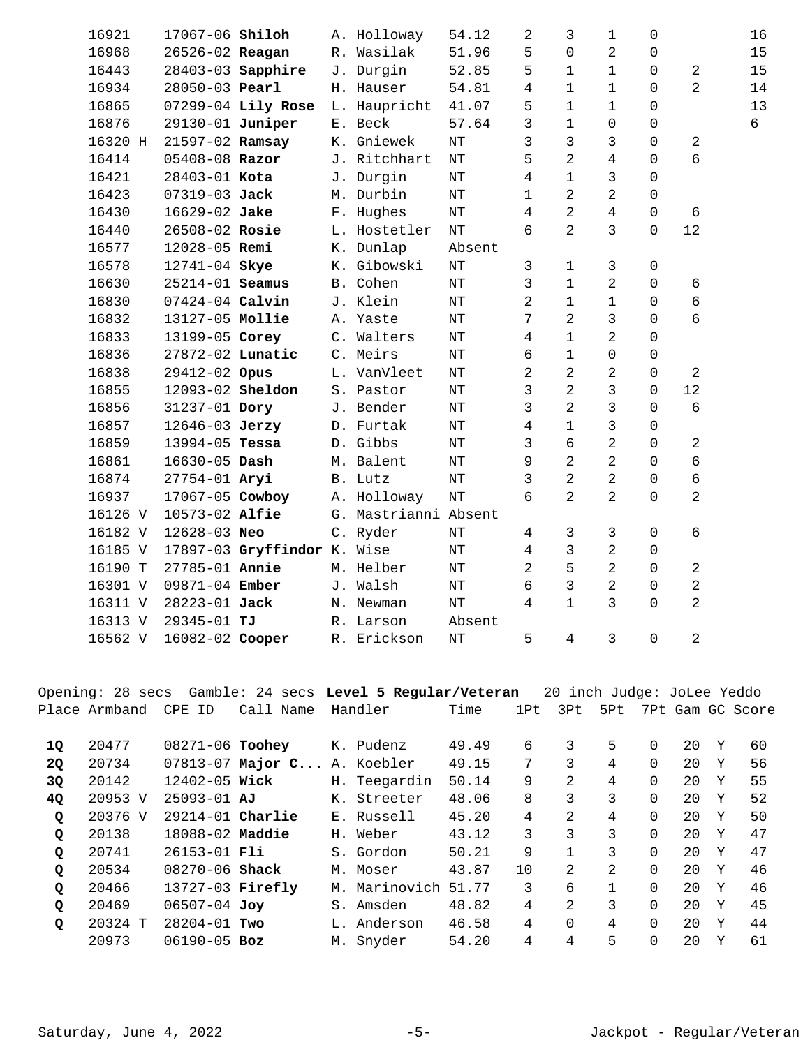| 16921   | 17067-06 Shiloh   |                             | A. Holloway          | 54.12     | $\overline{c}$ | 3              | $\mathbf 1$    | $\mathbf 0$  |                | 16 |
|---------|-------------------|-----------------------------|----------------------|-----------|----------------|----------------|----------------|--------------|----------------|----|
| 16968   | 26526-02 Reagan   |                             | R. Wasilak           | 51.96     | 5              | $\Omega$       | $\overline{c}$ | $\Omega$     |                | 15 |
| 16443   |                   | 28403-03 Sapphire           | J. Durgin            | 52.85     | 5              | 1              | 1              | $\mathbf 0$  | $\overline{c}$ | 15 |
| 16934   | 28050-03 Pearl    |                             | H. Hauser            | 54.81     | $\overline{4}$ | $\mathbf 1$    | $\mathbf 1$    | 0            | $\overline{2}$ | 14 |
| 16865   |                   | 07299-04 Lily Rose          | L. Haupricht         | 41.07     | 5              | $\mathbf 1$    | 1              | $\mathbf 0$  |                | 13 |
| 16876   | 29130-01 Juniper  |                             | E. Beck              | 57.64     | 3              | $\mathbf 1$    | 0              | $\mathbf 0$  |                | 6  |
| 16320 H | 21597-02 Ramsay   |                             | K. Gniewek           | NT        | 3              | 3              | 3              | $\mathbf 0$  | $\overline{a}$ |    |
| 16414   | 05408-08 Razor    |                             | J. Ritchhart         | $\rm{NT}$ | 5              | 2              | $\overline{4}$ | $\mathbf 0$  | б              |    |
| 16421   | 28403-01 Kota     |                             | J. Durgin            | $\rm{NT}$ | $\overline{4}$ | $\mathbf 1$    | 3              | $\mathbf 0$  |                |    |
| 16423   | 07319-03 Jack     |                             | M. Durbin            | $\rm{NT}$ | $\mathbf{1}$   | 2              | 2              | $\mathbf 0$  |                |    |
| 16430   | 16629-02 Jake     |                             | F. Hughes            | $\rm{NT}$ | $\overline{4}$ | 2              | $\overline{4}$ | 0            | 6              |    |
| 16440   | 26508-02 Rosie    |                             | L. Hostetler         | $\rm{NT}$ | 6              | 2              | 3              | $\mathbf 0$  | 12             |    |
| 16577   | 12028-05 Remi     |                             | K. Dunlap            | Absent    |                |                |                |              |                |    |
| 16578   | 12741-04 Skye     |                             | K. Gibowski          | $\rm{NT}$ | 3              | $\mathbf 1$    | 3              | $\mathsf 0$  |                |    |
| 16630   | 25214-01 Seamus   |                             | B. Cohen             | $\rm{NT}$ | 3              | 1              | $\overline{2}$ | $\mathsf{O}$ | 6              |    |
| 16830   | 07424-04 Calvin   |                             | J. Klein             | $\rm{NT}$ | $\overline{2}$ | $\mathbf 1$    | $\mathbf 1$    | $\mathbf 0$  | б              |    |
| 16832   | 13127-05 Mollie   |                             | A. Yaste             | $\rm{NT}$ | 7              | 2              | 3              | $\mathbf 0$  | 6              |    |
| 16833   | 13199-05 Corey    |                             | C. Walters           | $\rm{NT}$ | 4              | $\mathbf 1$    | $\overline{a}$ | $\mathbf 0$  |                |    |
| 16836   | 27872-02 Lunatic  |                             | C. Meirs             | $\rm{NT}$ | 6              | $\mathbf 1$    | 0              | $\mathbf 0$  |                |    |
| 16838   | 29412-02 Opus     |                             | L. VanVleet          | $\rm{NT}$ | $\overline{a}$ | 2              | 2              | $\mathbf 0$  | 2              |    |
| 16855   | 12093-02 Sheldon  |                             | S. Pastor            | $\rm{NT}$ | 3              | 2              | 3              | $\Omega$     | 12             |    |
| 16856   | 31237-01 Dory     |                             | J. Bender            | $\rm{NT}$ | 3              | $\overline{2}$ | 3              | $\Omega$     | 6              |    |
| 16857   | 12646-03 Jerzy    |                             | D. Furtak            | $\rm{NT}$ | $\overline{4}$ | 1              | 3              | $\mathbf 0$  |                |    |
| 16859   | 13994-05 Tessa    |                             | D. Gibbs             | $\rm{NT}$ | 3              | 6              | $\overline{2}$ | $\Omega$     | 2              |    |
| 16861   | $16630 - 05$ Dash |                             | M. Balent            | $\rm{NT}$ | 9              | 2              | $\overline{a}$ | $\mathbf 0$  | 6              |    |
| 16874   | 27754-01 Aryi     |                             | B. Lutz              | $\rm{NT}$ | $\mathsf{3}$   | 2              | $\overline{2}$ | $\mathbf 0$  | б              |    |
| 16937   | 17067-05 Cowboy   |                             | A. Holloway          | $\rm{NT}$ | 6              | 2              | $\overline{2}$ | $\Omega$     | $\overline{2}$ |    |
| 16126 V | 10573-02 Alfie    |                             | G. Mastrianni Absent |           |                |                |                |              |                |    |
| 16182 V | 12628-03 Neo      |                             | C. Ryder             | $\rm{NT}$ | 4              | 3              | 3              | $\mathbf 0$  | б              |    |
| 16185 V |                   | 17897-03 Gryffindor K. Wise |                      | $\rm{NT}$ | 4              | 3              | $\overline{2}$ | $\mathbf 0$  |                |    |
| 16190 T | 27785-01 Annie    |                             | M. Helber            | $\rm{NT}$ | $\overline{2}$ | 5              | $\overline{a}$ | $\Omega$     | $\overline{a}$ |    |
| 16301 V | 09871-04 Ember    |                             | J. Walsh             | $\rm{NT}$ | 6              | 3              | $\overline{a}$ | $\mathbf 0$  | $\overline{a}$ |    |
| 16311 V | 28223-01 Jack     |                             | N. Newman            | $\rm{NT}$ | $\overline{4}$ | $\mathbf 1$    | 3              | $\Omega$     | $\overline{2}$ |    |
| 16313 V | 29345-01 TJ       |                             | R. Larson            | Absent    |                |                |                |              |                |    |
| 16562 V | 16082-02 Cooper   |                             | R. Erickson          | $\rm{NT}$ | 5              | $\overline{4}$ | 3              | $\Omega$     | $\overline{2}$ |    |
|         |                   |                             |                      |           |                |                |                |              |                |    |

Opening: 28 secs Gamble: 24 secs **Level 5 Regular/Veteran** 20 inch Judge: JoLee Yeddo Place Armband CPE ID Call Name Handler Time 1Pt 3Pt 5Pt 7Pt Gam GC Score 20477 08271-06 K. Pudenz 49.49 6 3 5 0 20 Y 60 **1Q Toohey**  20 20734 07813-07 Major C... A. Koebler 49.15 7 3 4 0 20 Y 56 20142 12402-05 H. Teegardin 50.14 9 2 4 0 20 Y 55 **3Q Wick**  20953 V 25093-01 K. Streeter 48.06 8 3 3 0 20 Y 52 **4Q AJ**  20376 V 29214-01 E. Russell 45.20 4 2 4 0 20 Y 50 **Q Charlie**  20138 18088-02 H. Weber 43.12 3 3 3 0 20 Y 47 **Q Maddie**  20741 26153-01 S. Gordon 50.21 9 1 3 0 20 Y 47 **Q Fli**  20534 08270-06 M. Moser 43.87 10 2 2 0 20 Y 46 **Q Shack**  20466 13727-03 M. Marinovich 51.77 3 6 1 0 20 Y 46 **Q Firefly**  20469 06507-04 S. Amsden 48.82 4 2 3 0 20 Y 45 **Q Joy**  20324 T 28204-01 L. Anderson 46.58 4 0 4 0 20 Y 44 **Q Two**  20973 06190-05 M. Snyder 54.20 4 4 5 0 20 Y 61 **Boz**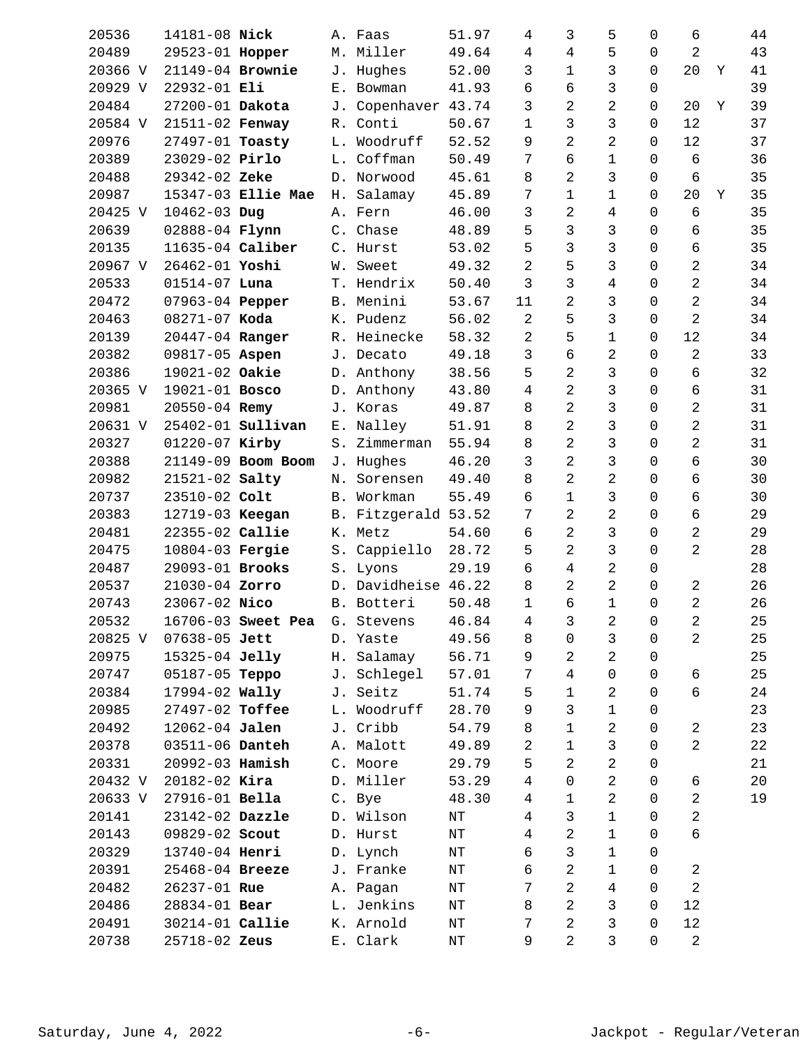| 20536   | 14181-08 Nick     |                          |            | A. Faas             | 51.97     |       | 4              | 3              | 5                   | 0              | 6              |   | 44 |
|---------|-------------------|--------------------------|------------|---------------------|-----------|-------|----------------|----------------|---------------------|----------------|----------------|---|----|
| 20489   | 29523-01 Hopper   |                          |            | M. Miller           | 49.64     |       | $\overline{4}$ | 4              | 5                   | 0              | $\overline{a}$ |   | 43 |
| 20366 V | 21149-04 Brownie  |                          |            | J. Hughes           | 52.00     |       | 3              | 1              | 3                   | 0              | 20             | Y | 41 |
| 20929 V | 22932-01 Eli      |                          |            | E. Bowman           | 41.93     |       | 6              | б              | 3                   | $\mathbf 0$    |                |   | 39 |
| 20484   | 27200-01 Dakota   |                          | J.         | Copenhaver          | 43.74     |       | 3              | 2              | $\overline{c}$      | $\mathbf 0$    | 20             | Y | 39 |
| 20584 V | 21511-02 Fenway   |                          | R.         | Conti               | 50.67     |       | 1              | 3              | 3                   | 0              | 12             |   | 37 |
| 20976   | 27497-01 Toasty   |                          | L.         | Woodruff            | 52.52     |       | 9              | 2              | $\overline{a}$      | $\mathbf 0$    | 12             |   | 37 |
| 20389   | 23029-02 Pirlo    |                          | L.         | Coffman             | 50.49     |       | 7              | 6              | $\mathbf{1}$        | $\mathbf 0$    | 6              |   | 36 |
| 20488   | 29342-02 Zeke     |                          |            | D. Norwood          | 45.61     |       | 8              | 2              | 3                   | $\mathbf 0$    | $\overline{6}$ |   | 35 |
| 20987   |                   | 15347-03 Ellie Mae       | Н.         | Salamay             | 45.89     |       | 7              | $\mathbf 1$    | $\mathbf{1}$        | $\mathbf 0$    | 20             | Y | 35 |
| 20425 V | 10462-03 Dug      |                          |            | A. Fern             | 46.00     |       | 3              | 2              | 4                   | $\Omega$       | 6              |   | 35 |
| 20639   | 02888-04 Flynn    |                          |            | C. Chase            | 48.89     |       | 5              | 3              | 3                   | $\mathbf 0$    | 6              |   | 35 |
| 20135   | 11635-04 Caliber  |                          |            | C. Hurst            | 53.02     |       | 5              | 3              | 3                   | $\mathbf 0$    | б              |   | 35 |
| 20967 V | 26462-01 Yoshi    |                          | W.         | Sweet               | 49.32     |       | 2              | 5              | 3                   | $\Omega$       | $\overline{a}$ |   | 34 |
| 20533   | $01514 - 07$ Luna |                          |            | T. Hendrix          | 50.40     |       | 3              | 3              | 4                   | 0              | 2              |   | 34 |
| 20472   | 07963-04 Pepper   |                          |            | B. Menini           | 53.67     |       | 11             | 2              | 3                   | $\mathbf 0$    | $\overline{a}$ |   | 34 |
| 20463   | 08271-07 Koda     |                          |            | K. Pudenz           | 56.02     |       | 2              | 5              | 3                   | $\mathbf 0$    | $\overline{2}$ |   | 34 |
| 20139   | 20447-04 Ranger   |                          |            | R. Heinecke         | 58.32     |       | 2              | 5              | $\mathbf 1$         | 0              | 12             |   | 34 |
| 20382   | 09817-05 Aspen    |                          |            | J. Decato           | 49.18     |       | 3              | б              | $\overline{a}$      | 0              | $\overline{a}$ |   | 33 |
| 20386   | 19021-02 Oakie    |                          |            | D. Anthony          | 38.56     |       | 5              | 2              | 3                   | $\Omega$       | б              |   | 32 |
| 20365 V | 19021-01 Bosco    |                          |            | D. Anthony          | 43.80     |       | 4              | 2              | 3                   | $\mathbf 0$    | б              |   | 31 |
| 20981   | 20550-04 Remy     |                          |            | J. Koras            | 49.87     |       | 8              | 2              | 3                   | $\mathbf 0$    | $\overline{a}$ |   | 31 |
| 20631 V |                   | 25402-01 <b>Sullivan</b> |            | E. Nalley           | 51.91     |       | 8              | 2              | 3                   | 0              | 2              |   | 31 |
| 20327   | 01220-07 Kirby    |                          | S.         | Zimmerman           | 55.94     |       | 8              | 2              | 3                   | $\Omega$       | $\overline{2}$ |   | 31 |
| 20388   |                   | 21149-09 Boom Boom       |            | J. Hughes           | 46.20     |       | 3              | $\overline{2}$ | 3                   | $\mathbf 0$    | 6              |   | 30 |
| 20982   | 21521-02 Salty    |                          | Ν.         | Sorensen            | 49.40     |       | 8              | 2              | $\overline{c}$      | $\mathbf 0$    | 6              |   | 30 |
| 20737   | 23510-02 Colt     |                          | <b>B</b> . | Workman             | 55.49     |       | 6              | 1              | 3                   | 0              | б              |   | 30 |
| 20383   | 12719-03 Keegan   |                          |            | B. Fitzgerald 53.52 |           |       | 7              | 2              | $\overline{a}$      | 0              | 6              |   | 29 |
| 20481   | 22355-02 Callie   |                          |            | K. Metz             | 54.60     |       | 6              | 2              | 3                   | $\mathbf 0$    | $\overline{a}$ |   | 29 |
| 20475   | 10804-03 Fergie   |                          | S.         | Cappiello           | 28.72     |       | 5              | 2              | 3                   | $\mathbf 0$    | $\overline{2}$ |   | 28 |
| 20487   | 29093-01 Brooks   |                          |            | S. Lyons            | 29.19     |       | 6              | 4              | 2                   | 0              |                |   | 28 |
| 20537   | 21030-04 Zorro    |                          |            | D. Davidheise       | 46.22     |       | 8              | 2              | $\overline{a}$      | 0              | 2              |   | 26 |
| 20743   | 23067-02 Nico     |                          |            | B. Botteri          | 50.48     |       | 1              | б              | $\mathbf{1}$        | $\mathbf 0$    | $\overline{a}$ |   | 26 |
| 20532   |                   | 16706-03 Sweet Pea       |            | G. Stevens          |           | 46.84 | $\overline{4}$ | $\mathfrak{Z}$ | $\overline{a}$      | $\overline{0}$ | $\overline{c}$ |   | 25 |
| 20825 V | 07638-05 Jett     |                          |            | D. Yaste            | 49.56     |       | 8              | 0              | 3                   | 0              | $\overline{a}$ |   | 25 |
| 20975   | 15325-04 Jelly    |                          |            | H. Salamay          | 56.71     |       | 9              | 2              | $\overline{a}$      | 0              |                |   | 25 |
| 20747   | 05187-05 Teppo    |                          |            | J. Schlegel         | 57.01     |       | 7              | 4              | $\mathsf{O}\xspace$ | $\mathbf 0$    | б              |   | 25 |
| 20384   | 17994-02 Wally    |                          |            | J. Seitz            | 51.74     |       | 5              | 1              | 2                   | $\mathbf 0$    | б              |   | 24 |
| 20985   | 27497-02 Toffee   |                          |            | L. Woodruff         | 28.70     |       | 9              | 3              | $\mathbf{1}$        | 0              |                |   | 23 |
| 20492   | 12062-04 Jalen    |                          |            | J. Cribb            | 54.79     |       | 8              | 1              | 2                   | 0              | $\overline{a}$ |   | 23 |
| 20378   | 03511-06 Danteh   |                          |            | A. Malott           | 49.89     |       | 2              | $\mathbf 1$    | 3                   | 0              | $\overline{2}$ |   | 22 |
| 20331   | 20992-03 Hamish   |                          |            | C. Moore            | 29.79     |       | 5              | 2              | $\overline{a}$      | 0              |                |   | 21 |
| 20432 V | $20182 - 02$ Kira |                          |            | D. Miller           | 53.29     |       | 4              | 0              | 2                   | 0              | 6              |   | 20 |
| 20633 V | 27916-01 Bella    |                          |            | C. Bye              | 48.30     |       | 4              | 1              | 2                   | 0              | $\overline{a}$ |   | 19 |
| 20141   | 23142-02 Dazzle   |                          |            | D. Wilson           | $\rm{NT}$ |       | 4              | 3              | 1                   | $\mathbf 0$    | $\overline{a}$ |   |    |
| 20143   | 09829-02 Scout    |                          |            | D. Hurst            | $\rm{NT}$ |       | $\overline{4}$ | 2              | $\mathbf 1$         | $\mathbf 0$    | б              |   |    |
| 20329   | 13740-04 Henri    |                          |            | D. Lynch            | $\rm{NT}$ |       | 6              | $\mathfrak{Z}$ | 1                   | 0              |                |   |    |
| 20391   | 25468-04 Breeze   |                          |            | J. Franke           | ΝT        |       | 6              | 2              | $\mathbf{1}$        | 0              | $\overline{a}$ |   |    |
| 20482   | 26237-01 Rue      |                          |            | A. Pagan            | $\rm{NT}$ |       | 7              | 2              | 4                   | 0              | $\overline{a}$ |   |    |
| 20486   | 28834-01 Bear     |                          |            | L. Jenkins          | ΝT        |       | 8              | 2              | 3                   | $\mathbf 0$    | 12             |   |    |
| 20491   | 30214-01 Callie   |                          |            | K. Arnold           | $\rm{NT}$ |       | 7              | 2              | 3                   | 0              | 12             |   |    |
| 20738   | 25718-02 Zeus     |                          |            | E. Clark            | $\rm{NT}$ |       | 9              | $\overline{2}$ | $\mathbf{3}$        | $\mathbf 0$    | $\overline{a}$ |   |    |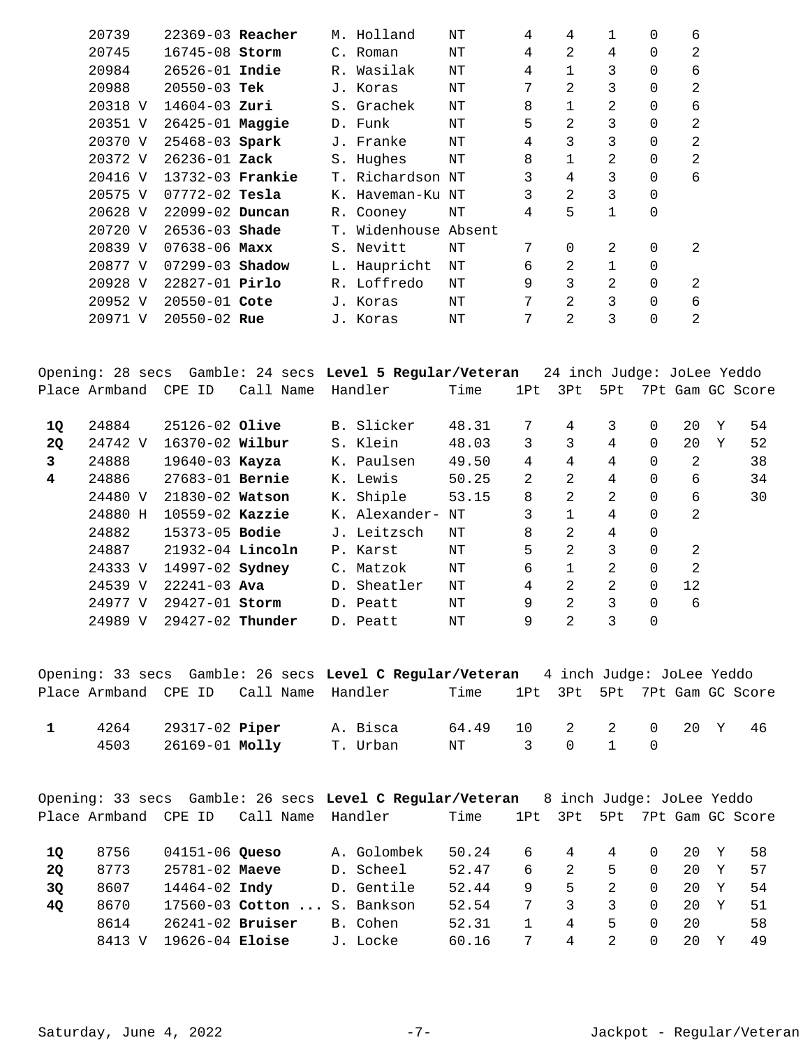| 20739   | $22369-03$ Reacher  |  | M. Holland           | ΝT | 4 | 4              |              | 0           | 6 |
|---------|---------------------|--|----------------------|----|---|----------------|--------------|-------------|---|
| 20745   | 16745-08 Storm      |  | C. Roman             | ΝT | 4 | 2              | 4            | $\Omega$    | 2 |
| 20984   | $26526 - 01$ Indie  |  | R. Wasilak           | NΤ | 4 |                | 3            | $\Omega$    | 6 |
| 20988   | $20550 - 03$ Tek    |  | J. Koras             | NΤ | 7 | $\overline{2}$ | 3            | $\Omega$    | 2 |
| 20318 V | $14604 - 03$ Zuri   |  | S. Grachek           | NΤ | 8 |                | 2            | $\mathbf 0$ | 6 |
| 20351 V | 26425-01 Maggie     |  | D. Funk              | NΤ | 5 | 2              | 3            | $\Omega$    | 2 |
| 20370 V | 25468-03 Spark      |  | J. Franke            | NΤ | 4 | 3              | 3            | $\Omega$    | 2 |
| 20372 V | $26236 - 01$ Zack   |  | S. Hughes            | NΤ | 8 |                | 2            | $\Omega$    | 2 |
| 20416 V | 13732-03 Frankie    |  | T. Richardson NT     |    | 3 | 4              | 3            | 0           | 6 |
| 20575 V | $07772 - 02$ Tesla  |  | K. Haveman-Ku NT     |    | 3 | 2              | 3            | 0           |   |
| 20628 V | 22099-02 Duncan     |  | R. Cooney            | ΝT | 4 | 5              | $\mathbf{1}$ | $\mathbf 0$ |   |
| 20720 V | $26536 - 03$ shade  |  | T. Widenhouse Absent |    |   |                |              |             |   |
| 20839 V | $07638 - 06$ Maxx   |  | S. Nevitt            | NΤ | 7 | 0              | 2            | $\mathbf 0$ | 2 |
| 20877 V | $07299 - 03$ Shadow |  | L. Haupricht         | NΤ | 6 | 2              |              | 0           |   |
| 20928 V | $22827 - 01$ Pirlo  |  | R. Loffredo          | NΤ | 9 | 3              | 2            | $\Omega$    | 2 |
| 20952 V | 20550-01 Cote       |  | J. Koras             | NΤ | 7 | $\mathfrak{D}$ | 3            | $\Omega$    | 6 |
| 20971 V | $20550 - 02$ Rue    |  | J. Koras             | ΝT | 7 | $\mathfrak{D}$ | 3            | $\Omega$    | 2 |

Opening: 28 secs Gamble: 24 secs **Level 5 Regular/Veteran** 24 inch Judge: JoLee Yeddo Place Armband CPE ID Call Name Handler Time 1Pt 3Pt 5Pt 7Pt Gam GC Score

| 1Q        | 24884   | $25126 - 02$ Olive     |                | B. Slicker    | 48.31 | 7 | 4              | 3 | 0        | 20             | Υ | 54 |
|-----------|---------|------------------------|----------------|---------------|-------|---|----------------|---|----------|----------------|---|----|
| <b>2Q</b> | 24742 V | $16370 - 02$ Wilbur    |                | S. Klein      | 48.03 | 3 | 3              | 4 | 0        | 20             | Υ | 52 |
| 3         | 24888   | $19640 - 03$ Kayza     |                | K. Paulsen    | 49.50 | 4 | 4              | 4 | 0        | 2              |   | 38 |
| 4         | 24886   | $27683 - 01$ Bernie    |                | K. Lewis      | 50.25 | 2 | 2              | 4 | 0        | 6              |   | 34 |
|           | 24480 V | 21830-02 Watson        |                | K. Shiple     | 53.15 | 8 | 2              | 2 | 0        | 6              |   | 30 |
|           | 24880 H | $10559 - 02$ Kazzie    |                | K. Alexander- | NΤ    | 3 |                | 4 | $\Omega$ | 2              |   |    |
|           | 24882   | $15373 - 05$ Bodie     |                | J. Leitzsch   | NΤ    | 8 | 2.             | 4 | $\Omega$ |                |   |    |
|           | 24887   | 21932-04 Lincoln       |                | P. Karst      | NΤ    | 5 | 2              | 3 | $\Omega$ | $\mathfrak{D}$ |   |    |
|           | 24333 V | 14997-02 <b>Sydney</b> | $\mathsf{C}$ . | Matzok        | NΤ    | 6 |                | 2 | $\Omega$ | 2              |   |    |
|           | 24539 V | $22241 - 03$ Ava       | $D$ .          | Sheatler      | NΤ    | 4 | 2              | 2 | $\Omega$ | 12             |   |    |
|           | 24977 V | 29427-01 Storm         |                | D. Peatt      | NT    | 9 | $\overline{2}$ | 3 | $\Omega$ | 6              |   |    |
|           | 24989 V | $29427-02$ Thunder     |                | D. Peatt      | NΤ    | 9 | 2              | 3 | 0        |                |   |    |

Opening: 33 secs Gamble: 26 secs **Level C Regular/Veteran** 4 inch Judge: JoLee Yeddo Place Armband CPE ID Call Name Handler Time 1Pt 3Pt 5Pt 7Pt Gam GC Score

|  | 1 4264 29317-02 Piper A. Bisca 64.49 10 2 2 0 20 Y 46 |  |  |  |  |  |
|--|-------------------------------------------------------|--|--|--|--|--|
|  | 4503  26169-01  Molly  T. Urban  NT  3  0  1  0       |  |  |  |  |  |

|           |               |                      | Opening: 33 secs Gamble: 26 secs Level C Regular/Veteran |             |       |     | 8 inch Judge: JoLee Yeddo |               |   |     |   |                  |
|-----------|---------------|----------------------|----------------------------------------------------------|-------------|-------|-----|---------------------------|---------------|---|-----|---|------------------|
|           | Place Armband | CPE ID               | Call Name                                                | Handler     | Time  | 1Pt | 3Pt                       | 5Pt           |   |     |   | 7Pt Gam GC Score |
| 10        | 8756          | 04151-06 Queso       |                                                          | A. Golombek | 50.24 | 6   | 4                         | 4             | 0 | 20  | Y | 58               |
| <b>20</b> | 8773          | $25781 - 02$ Maeve   |                                                          | D. Scheel   | 52.47 | 6   | $\mathcal{L}$             | 5.            | 0 | 20  | Y | 57               |
| 3Q        | 8607          | 14464-02 <b>Indv</b> |                                                          | D. Gentile  | 52.44 | 9   | 5                         | $\mathcal{L}$ | 0 | 2.0 | Y | -54              |
| <b>40</b> | 8670          |                      | 17560-03 Cotton  S. Bankson                              |             | 52.54 | 7   | 3                         | 3             | 0 | 20  | Y | 51               |
|           | 8614          | $26241 - 02$ Bruiser |                                                          | B. Cohen    | 52.31 |     | 4                         | 5.            | 0 | 20  |   | 58               |
|           | 8413 V        | $19626 - 04$ Eloise  |                                                          | J. Locke    | 60.16 | 7   | 4                         | $\mathcal{L}$ | 0 | 2.0 | v | 49               |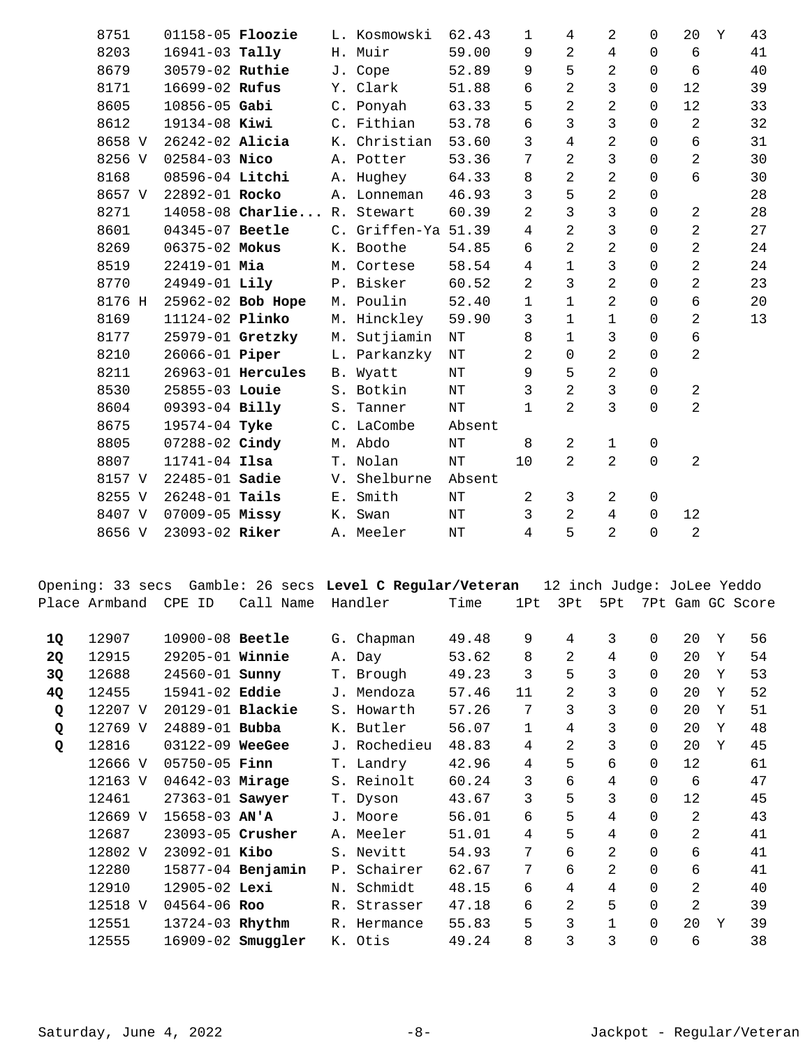|           | 8751                 | 01158-05 <b>Floozie</b> |                             |    | L. Kosmowski                                             | 62.43     | 1              | 4                          | 2              | $\mathbf 0$  | 20             | Υ | 43               |
|-----------|----------------------|-------------------------|-----------------------------|----|----------------------------------------------------------|-----------|----------------|----------------------------|----------------|--------------|----------------|---|------------------|
|           | 8203                 | 16941-03 Tally          |                             |    | H. Muir                                                  | 59.00     | 9              | 2                          | 4              | $\Omega$     | 6              |   | 41               |
|           | 8679                 | 30579-02 Ruthie         |                             |    | J. Cope                                                  | 52.89     | 9              | 5                          | $\overline{c}$ | $\mathsf{O}$ | 6              |   | 40               |
|           | 8171                 | 16699-02 Rufus          |                             |    | Y. Clark                                                 | 51.88     | 6              | $\overline{a}$             | 3              | 0            | 12             |   | 39               |
|           | 8605                 | 10856-05 Gabi           |                             |    | C. Ponyah                                                | 63.33     | 5              | 2                          | $\overline{c}$ | 0            | 12             |   | 33               |
|           | 8612                 | 19134-08 Kiwi           |                             |    | C. Fithian                                               | 53.78     | 6              | 3                          | 3              | $\Omega$     | $\overline{a}$ |   | 32               |
|           | 8658 V               | 26242-02 Alicia         |                             |    | K. Christian                                             | 53.60     | 3              | 4                          | 2              | $\mathbf 0$  | $\sqrt{6}$     |   | 31               |
|           | 8256 V               | $02584 - 03$ Nico       |                             |    | A. Potter                                                | 53.36     | 7              | 2                          | 3              | $\mathbf 0$  | $\overline{a}$ |   | 30               |
|           | 8168                 | 08596-04 Litchi         |                             |    | A. Hughey                                                | 64.33     | 8              | 2                          | $\overline{a}$ | 0            | б              |   | 30               |
|           | 8657 V               | 22892-01 Rocko          |                             |    | A. Lonneman                                              | 46.93     | 3              | 5                          | 2              | 0            |                |   | 28               |
|           | 8271                 |                         | 14058-08 Charlie R. Stewart |    |                                                          | 60.39     | $\overline{a}$ | 3                          | 3              | $\mathbf 0$  | $\overline{a}$ |   | 28               |
|           | 8601                 | 04345-07 Beetle         |                             |    | C. Griffen-Ya 51.39                                      |           | $\overline{4}$ | 2                          | 3              | $\mathbf 0$  | $\overline{a}$ |   | 27               |
|           | 8269                 | 06375-02 Mokus          |                             |    | K. Boothe                                                | 54.85     | 6              | 2                          | $\overline{a}$ | 0            | $\overline{a}$ |   | 24               |
|           | 8519                 | 22419-01 Mia            |                             |    | M. Cortese                                               | 58.54     | 4              | 1                          | 3              | 0            | $\overline{a}$ |   | 24               |
|           | 8770                 | 24949-01 Lily           |                             |    | P. Bisker                                                | 60.52     | $\overline{a}$ | 3                          | $\overline{a}$ | $\mathbf 0$  | $\overline{c}$ |   | 23               |
|           | 8176 H               |                         | 25962-02 Bob Hope           |    | M. Poulin                                                | 52.40     | $\mathbf 1$    | 1                          | $\overline{a}$ | $\mathbf 0$  | б              |   | 20               |
|           | 8169                 | 11124-02 Plinko         |                             |    | M. Hinckley                                              | 59.90     | 3              | $\mathbf 1$                | $\mathbf{1}$   | 0            | $\overline{a}$ |   | 13               |
|           | 8177                 | 25979-01 Gretzky        |                             |    | M. Sutjiamin                                             | $\rm{NT}$ | 8              | 1                          | 3              | $\Omega$     | б              |   |                  |
|           | 8210                 | 26066-01 Piper          |                             |    | L. Parkanzky                                             | $\rm{NT}$ | $\overline{2}$ | 0                          | 2              | 0            | $\overline{a}$ |   |                  |
|           | 8211                 | 26963-01 Hercules       |                             |    | B. Wyatt                                                 | ΝT        | 9              | 5                          | $\overline{a}$ | $\mathbf 0$  |                |   |                  |
|           | 8530                 | 25855-03 Louie          |                             |    | S. Botkin                                                | $\rm{NT}$ | 3              | 2                          | 3              | 0            | $\overline{a}$ |   |                  |
|           | 8604                 | 09393-04 Billy          |                             |    | S. Tanner                                                | $\rm{NT}$ | $\mathbf{1}$   | 2                          | 3              | $\mathbf 0$  | $\overline{a}$ |   |                  |
|           | 8675                 | 19574-04 Tyke           |                             |    | C. LaCombe                                               | Absent    |                |                            |                |              |                |   |                  |
|           | 8805                 | 07288-02 Cindy          |                             |    | M. Abdo                                                  | $\rm{NT}$ | 8              | 2                          | $\mathbf{1}$   | 0            |                |   |                  |
|           | 8807                 | $11741 - 04$ Ilsa       |                             |    | T. Nolan                                                 | $\rm{NT}$ | 10             | 2                          | $\overline{2}$ | $\mathbf 0$  | $\overline{a}$ |   |                  |
|           | 8157 V               | 22485-01 Sadie          |                             |    | V. Shelburne                                             | Absent    |                |                            |                |              |                |   |                  |
|           | 8255 V               | 26248-01 Tails          |                             |    | E. Smith                                                 | $\rm{NT}$ | 2              | 3                          | $\overline{a}$ | 0            |                |   |                  |
|           | 8407 V               | $07009 - 05$ Missy      |                             |    | K. Swan                                                  | ΝT        | $\mathsf{3}$   | 2                          | $\overline{4}$ | $\mathbf 0$  | 12             |   |                  |
|           | 8656 V               | 23093-02 Riker          |                             |    | A. Meeler                                                | $\rm{NT}$ | $\overline{4}$ | 5                          | $\overline{2}$ | $\Omega$     | 2              |   |                  |
|           |                      |                         |                             |    |                                                          |           |                |                            |                |              |                |   |                  |
|           |                      |                         |                             |    |                                                          |           |                |                            |                |              |                |   |                  |
|           |                      |                         |                             |    | Opening: 33 secs Gamble: 26 secs Level C Regular/Veteran |           |                | 12 inch Judge: JoLee Yeddo |                |              |                |   |                  |
|           | Place Armband CPE ID |                         | Call Name                   |    | Handler                                                  | Time      | 1Pt            | 3Pt                        | 5Pt            |              |                |   | 7Pt Gam GC Score |
| 1Q        | 12907                | 10900-08 Beetle         |                             | G. | Chapman                                                  | 49.48     | 9              | 4                          | 3              | 0            | 20             | Υ | 56               |
| <b>2Q</b> | 12915                | 29205-01 Winnie         |                             | Α. | Day                                                      | 53.62     | 8              | 2                          | 4              | $\mathbf 0$  | 20             | Y | 54               |
| 3Q        | 12688                | 24560-01 <b>Sunny</b>   |                             |    | T. Brough                                                | 49.23     | 3              | 5                          | 3              | $\mathbf 0$  | 20             | Y | 53               |
| 4Q        | 12455                | 15941-02 Eddie          |                             | J. | Mendoza                                                  | 57.46     | 11             | 2                          | 3              | 0            | 20             | Y | 52               |
| Q         | 12207 V              | 20129-01 Blackie        |                             |    | S. Howarth                                               | 57.26     | 7              | 3                          | 3              | $\Omega$     | 20             | Y | 51               |
| Q         | 12769 V              | 24889-01 Bubba          |                             |    | K. Butler                                                | 56.07     | $\mathbf{1}$   | 4                          | 3              | 0            | 20             | Y | 48               |
| Q         | 12816                | 03122-09 WeeGee         |                             |    | J. Rochedieu                                             | 48.83     | 4              | 2                          | 3              | 0            | 20             | Y | 45               |
|           | 12666 V              | $05750 - 05$ Finn       |                             | T. | Landry                                                   | 42.96     | 4              | 5                          | б              | $\Omega$     | 12             |   | 61               |
|           | 12163 V              | 04642-03 Mirage         |                             |    | S. Reinolt                                               | 60.24     | 3              | 6                          | 4              | $\Omega$     | 6              |   | 47               |
|           | 12461                | 27363-01 Sawyer         |                             |    | T. Dyson                                                 | 43.67     | 3              | 5                          | 3              | $\Omega$     | 12             |   | 45               |
|           | 12669 V              | 15658-03 AN'A           |                             |    | J. Moore                                                 | 56.01     | 6              | 5                          | 4              | $\mathsf{O}$ | $\overline{a}$ |   | 43               |
|           | 12687                | 23093-05 Crusher        |                             |    | A. Meeler                                                | 51.01     | $\overline{4}$ | 5                          | 4              | 0            | $\overline{a}$ |   | 41               |
|           | 12802 V              | 23092-01 Kibo           |                             |    | S. Nevitt                                                | 54.93     | 7              | 6                          | 2              | $\Omega$     | б              |   | 41               |
|           | 12280                |                         | 15877-04 Benjamin           |    | P. Schairer                                              | 62.67     | 7              | 6                          | 2              | $\Omega$     | б              |   | 41               |
|           | 12910                | 12905-02 Lexi           |                             |    | N. Schmidt                                               | 48.15     | 6              | 4                          | 4              | $\mathbf 0$  | 2              |   | 40               |
|           | 12518 V              | 04564-06 Roo            |                             | R. | Strasser                                                 | 47.18     | 6              | 2                          | 5              | $\Omega$     | $\overline{a}$ |   | 39               |
|           | 12551                | 13724-03 Rhythm         |                             |    | R. Hermance                                              | 55.83     | 5              | 3                          | $\mathbf{1}$   | 0            | 20             | Υ | 39               |
|           | 12555                |                         | 16909-02 <b>Smuggler</b>    |    | K. Otis                                                  | 49.24     | 8              | 3                          | 3              | $\Omega$     | 6              |   | 38               |
|           |                      |                         |                             |    |                                                          |           |                |                            |                |              |                |   |                  |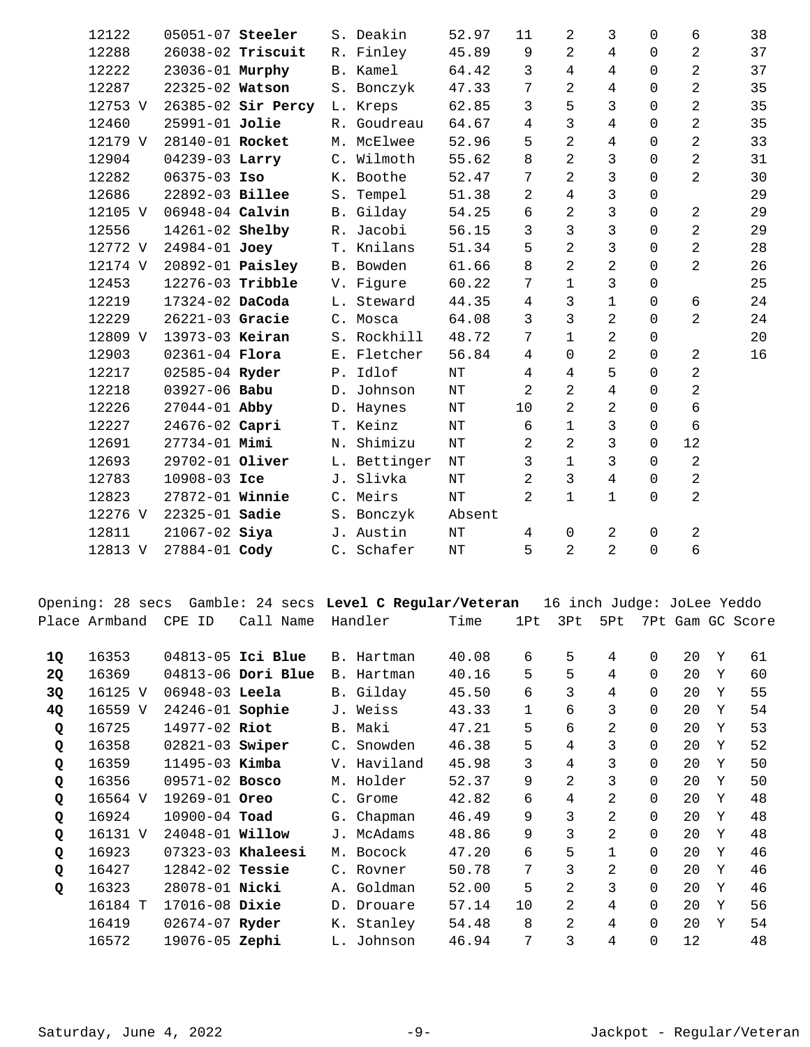| 12122   | 05051-07 Steeler        |                    | S. Deakin    | 52.97     | 11             | 2              | 3              | $\Omega$    | 6              | 38 |
|---------|-------------------------|--------------------|--------------|-----------|----------------|----------------|----------------|-------------|----------------|----|
| 12288   |                         | 26038-02 Triscuit  | R. Finley    | 45.89     | 9              | 2              | 4              | $\Omega$    | $\overline{a}$ | 37 |
| 12222   | 23036-01 Murphy         |                    | B. Kamel     | 64.42     | 3              | 4              | 4              | $\Omega$    | $\overline{2}$ | 37 |
| 12287   | 22325-02 Watson         |                    | S. Bonczyk   | 47.33     | 7              | 2              | 4              | $\mathbf 0$ | $\overline{2}$ | 35 |
| 12753 V |                         | 26385-02 Sir Percy | L. Kreps     | 62.85     | 3              | 5              | 3              | $\Omega$    | $\overline{a}$ | 35 |
| 12460   | 25991-01 Jolie          |                    | R. Goudreau  | 64.67     | 4              | 3              | 4              | $\mathbf 0$ | $\overline{a}$ | 35 |
| 12179 V | 28140-01 Rocket         |                    | M. McElwee   | 52.96     | 5              | $\overline{2}$ | $\overline{4}$ | $\Omega$    | $\overline{2}$ | 33 |
| 12904   | 04239-03 Larry          |                    | C. Wilmoth   | 55.62     | 8              | $\overline{2}$ | 3              | $\Omega$    | $\overline{2}$ | 31 |
| 12282   | 06375-03 Iso            |                    | K. Boothe    | 52.47     | 7              | $\overline{2}$ | 3              | $\Omega$    | $\overline{a}$ | 30 |
| 12686   | 22892-03 Billee         |                    | S. Tempel    | 51.38     | 2              | $\overline{4}$ | 3              | $\Omega$    |                | 29 |
| 12105 V | 06948-04 Calvin         |                    | B. Gilday    | 54.25     | 6              | 2              | 3              | $\Omega$    | 2              | 29 |
| 12556   | 14261-02 Shelby         |                    | R. Jacobi    | 56.15     | 3              | 3              | 3              | 0           | $\overline{a}$ | 29 |
| 12772 V | 24984-01 Joey           |                    | T. Knilans   | 51.34     | 5              | $\overline{2}$ | 3              | $\Omega$    | $\overline{a}$ | 28 |
| 12174 V | 20892-01 <b>Paisley</b> |                    | B. Bowden    | 61.66     | 8              | 2              | $\overline{2}$ | 0           | $\overline{a}$ | 26 |
| 12453   | 12276-03 Tribble        |                    | V. Figure    | 60.22     | 7              | 1              | 3              | $\Omega$    |                | 25 |
| 12219   | 17324-02 DaCoda         |                    | L. Steward   | 44.35     | 4              | 3              | $\mathbf 1$    | $\Omega$    | 6              | 24 |
| 12229   | 26221-03 Gracie         |                    | C. Mosca     | 64.08     | 3              | 3              | $\overline{2}$ | $\Omega$    | $\overline{a}$ | 24 |
| 12809 V | 13973-03 Keiran         |                    | S. Rockhill  | 48.72     | 7              | 1              | 2              | $\Omega$    |                | 20 |
| 12903   | $02361 - 04$ Flora      |                    | E. Fletcher  | 56.84     | 4              | 0              | $\overline{2}$ | 0           | 2              | 16 |
| 12217   | 02585-04 Ryder          |                    | P. Idlof     | $\rm{NT}$ | 4              | 4              | 5              | $\Omega$    | 2              |    |
| 12218   | 03927-06 Babu           |                    | D. Johnson   | $\rm{NT}$ | 2              | 2              | $\overline{4}$ | $\Omega$    | $\overline{2}$ |    |
| 12226   | $27044 - 01$ Abby       |                    | D. Haynes    | ΝT        | 10             | 2              | 2              | $\Omega$    | б              |    |
| 12227   | 24676-02 Capri          |                    | T. Keinz     | $\rm{NT}$ | 6              | $\mathbf 1$    | 3              | $\Omega$    | 6              |    |
| 12691   | 27734-01 Mimi           |                    | N. Shimizu   | $\rm{NT}$ | 2              | 2              | 3              | $\Omega$    | 12             |    |
| 12693   | 29702-01 Oliver         |                    | L. Bettinger | $\rm{NT}$ | $\mathbf{3}$   | $\mathbf 1$    | 3              | $\mathbf 0$ | 2              |    |
| 12783   | 10908-03 Ice            |                    | J. Slivka    | NT        | $\overline{2}$ | 3              | 4              | $\Omega$    | $\overline{a}$ |    |
| 12823   | 27872-01 Winnie         |                    | C. Meirs     | NT        | 2              | 1              | $\mathbf{1}$   | $\mathbf 0$ | $\overline{2}$ |    |
| 12276 V | 22325-01 Sadie          |                    | S. Bonczyk   | Absent    |                |                |                |             |                |    |
| 12811   | 21067-02 Siya           |                    | J. Austin    | $\rm{NT}$ | 4              | 0              | $\overline{a}$ | $\mathbf 0$ | $\overline{a}$ |    |
| 12813 V | 27884-01 Cody           |                    | C. Schafer   | $\rm{NT}$ | 5              | 2              | $\overline{a}$ | $\mathbf 0$ | б              |    |
|         |                         |                    |              |           |                |                |                |             |                |    |

|    | Opening: 28 secs |                        |                     | Gamble: 24 secs Level C Regular/Veteran |       |                 | 16 inch Judge: JoLee Yeddo |                |             |    |   |                  |
|----|------------------|------------------------|---------------------|-----------------------------------------|-------|-----------------|----------------------------|----------------|-------------|----|---|------------------|
|    | Place Armband    | CPE ID                 | Call Name           | Handler                                 | Time  | 1P <sub>t</sub> | 3Pt                        | 5Pt            |             |    |   | 7Pt Gam GC Score |
| 1Q | 16353            |                        | 04813-05 Ici Blue   | B. Hartman                              | 40.08 | 6               | 5                          | 4              | $\Omega$    | 20 | Y | 61               |
| 2Q | 16369            |                        | 04813-06 Dori Blue  | B. Hartman                              | 40.16 | 5               | 5                          | 4              | $\Omega$    | 20 | Y | 60               |
| 3Q | 16125 V          | $06948-03$ Leela       |                     | B. Gilday                               | 45.50 | 6               | 3                          | 4              | $\Omega$    | 20 | Y | 55               |
| 4Q | 16559 V          | 24246-01 Sophie        |                     | J. Weiss                                | 43.33 | $\mathbf 1$     | 6                          | 3              | $\mathbf 0$ | 20 | Y | 54               |
| Q  | 16725            | 14977-02 Riot          |                     | B. Maki                                 | 47.21 | 5               | 6                          | 2              | $\Omega$    | 20 | Y | 53               |
| Q  | 16358            | $02821-03$ Swiper      |                     | C. Snowden                              | 46.38 | 5               | 4                          | 3              | $\Omega$    | 20 | Y | 52               |
| Q  | 16359            | $11495 - 03$ Kimba     |                     | V. Haviland                             | 45.98 | 3               | 4                          | 3              | $\Omega$    | 20 | Y | 50               |
| Q  | 16356            | $09571 - 02$ Bosco     |                     | M. Holder                               | 52.37 | 9               | 2                          | 3              | $\Omega$    | 20 | Y | 50               |
| Q  | 16564 V          | 19269-01 Oreo          |                     | C. Grome                                | 42.82 | 6               | 4                          | 2              | $\Omega$    | 20 | Y | 48               |
| Q  | 16924            | $10900 - 04$ Toad      |                     | G. Chapman                              | 46.49 | 9               | 3                          | 2              | $\Omega$    | 20 | Y | 48               |
| Q  | 16131 V          | 24048-01 <b>Willow</b> |                     | J. McAdams                              | 48.86 | 9               | 3                          | 2              | $\Omega$    | 20 | Y | 48               |
| Q  | 16923            |                        | $07323-03$ Khaleesi | M. Bocock                               | 47.20 | б               | 5                          | 1              | $\Omega$    | 20 | Y | 46               |
| Q  | 16427            | 12842-02 Tessie        |                     | C. Rovner                               | 50.78 | 7               | 3                          | $\overline{a}$ | $\Omega$    | 20 | Y | 46               |
| Q  | 16323            | 28078-01 Nicki         |                     | A. Goldman                              | 52.00 | 5               | 2                          | 3              | $\Omega$    | 20 | Y | 46               |
|    | 16184 T          | 17016-08 Dixie         |                     | D. Drouare                              | 57.14 | 10              | 2                          | $\overline{4}$ | $\Omega$    | 20 | Y | 56               |
|    | 16419            | 02674-07 Ryder         |                     | K. Stanley                              | 54.48 | 8               | $\overline{2}$             | 4              | $\Omega$    | 20 | Y | 54               |
|    | 16572            | 19076-05 Zephi         |                     | L. Johnson                              | 46.94 | 7               | 3                          | 4              | $\mathbf 0$ | 12 |   | 48               |
|    |                  |                        |                     |                                         |       |                 |                            |                |             |    |   |                  |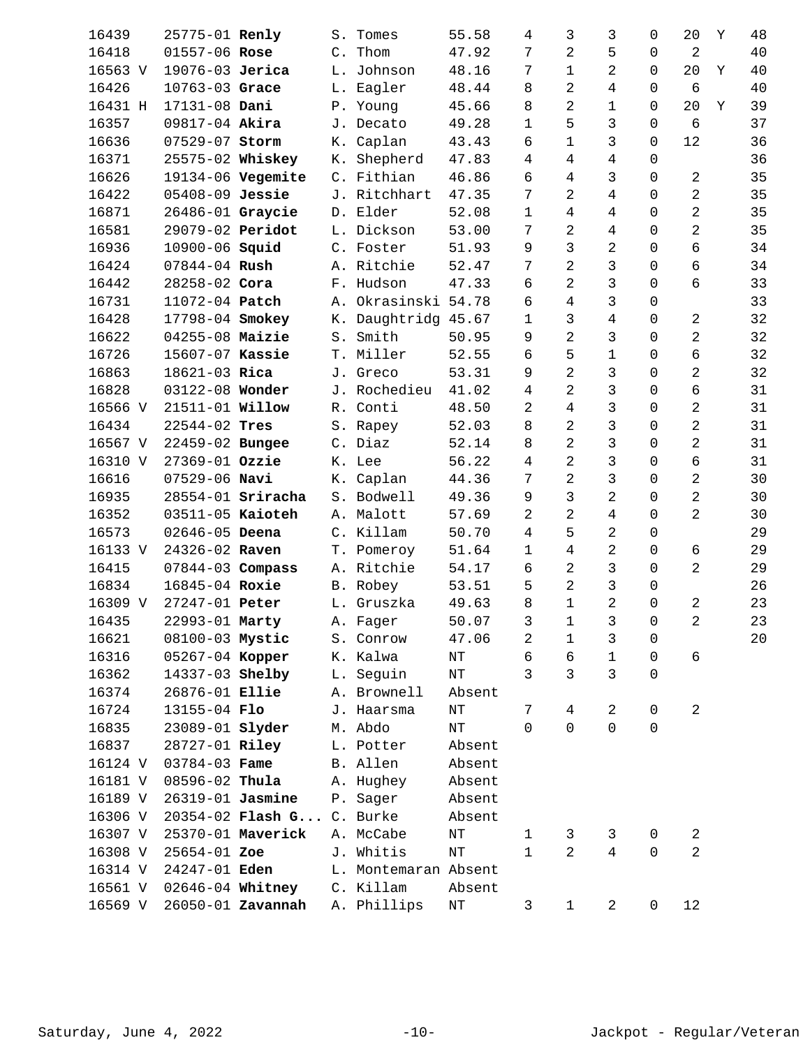| 16439   | 25775-01 Renly         |                          | $S$ . | Tomes                | 55.58     | 4              | 3              | 3              | 0              | 20             | Y | 48 |
|---------|------------------------|--------------------------|-------|----------------------|-----------|----------------|----------------|----------------|----------------|----------------|---|----|
| 16418   | 01557-06 Rose          |                          | C.    | Thom                 | 47.92     | 7              | 2              | 5              | 0              | $\overline{a}$ |   | 40 |
| 16563 V | 19076-03 Jerica        |                          |       | L. Johnson           | 48.16     | 7              | 1              | 2              | 0              | 20             | Y | 40 |
| 16426   | 10763-03 Grace         |                          |       | L. Eagler            | 48.44     | 8              | 2              | 4              | $\mathbf 0$    | $\sqrt{6}$     |   | 40 |
| 16431 H | 17131-08 Dani          |                          |       | P. Young             | 45.66     | 8              | 2              | 1              | $\mathbf 0$    | 20             | Υ | 39 |
| 16357   | 09817-04 Akira         |                          |       | J. Decato            | 49.28     | 1              | 5              | 3              | 0              | 6              |   | 37 |
| 16636   | 07529-07 Storm         |                          | К.    | Caplan               | 43.43     | 6              | 1              | 3              | 0              | 12             |   | 36 |
| 16371   | 25575-02 Whiskey       |                          |       | K. Shepherd          | 47.83     | 4              | 4              | 4              | $\mathbf 0$    |                |   | 36 |
| 16626   |                        | 19134-06 Vegemite        |       | C. Fithian           | 46.86     | 6              | 4              | 3              | $\Omega$       | $\overline{a}$ |   | 35 |
| 16422   | 05408-09 Jessie        |                          |       | J. Ritchhart         | 47.35     | 7              | 2              | 4              | 0              | $\overline{a}$ |   | 35 |
| 16871   | 26486-01 Graycie       |                          |       | D. Elder             | 52.08     | $\mathbf{1}$   | 4              | 4              | 0              | $\overline{a}$ |   | 35 |
| 16581   | 29079-02 Peridot       |                          |       | L. Dickson           | 53.00     | 7              | 2              | 4              | $\mathbf 0$    | $\overline{a}$ |   | 35 |
| 16936   | 10900-06 <b>Squid</b>  |                          |       | C. Foster            | 51.93     | 9              | 3              | $\overline{a}$ | $\mathbf 0$    | 6              |   | 34 |
| 16424   | 07844-04 Rush          |                          |       | A. Ritchie           | 52.47     | 7              | 2              | 3              | 0              | б              |   | 34 |
| 16442   | 28258-02 Cora          |                          |       | F. Hudson            | 47.33     | 6              | 2              | 3              | 0              | б              |   | 33 |
| 16731   | 11072-04 Patch         |                          |       | A. Okrasinski 54.78  |           | 6              | 4              | 3              | $\mathbf 0$    |                |   | 33 |
| 16428   | 17798-04 Smokey        |                          |       | K. Daughtridg 45.67  |           | 1              | 3              | $\overline{4}$ | $\mathbf 0$    | 2              |   | 32 |
| 16622   | 04255-08 Maizie        |                          | $S$ . | Smith                | 50.95     | 9              | 2              | 3              | $\Omega$       | $\overline{a}$ |   | 32 |
| 16726   | 15607-07 Kassie        |                          |       | T. Miller            | 52.55     | 6              | 5              | $\mathbf{1}$   | 0              | б              |   | 32 |
| 16863   | 18621-03 Rica          |                          |       | J. Greco             | 53.31     | 9              | $\overline{2}$ | 3              | $\mathbf 0$    | $\overline{a}$ |   | 32 |
| 16828   | 03122-08 Wonder        |                          |       | J. Rochedieu         | 41.02     | $\overline{4}$ | 2              | 3              | $\mathbf 0$    | б              |   | 31 |
| 16566 V | 21511-01 <b>Willow</b> |                          |       | R. Conti             | 48.50     | 2              | 4              | 3              | $\mathbf 0$    | $\overline{a}$ |   | 31 |
| 16434   | 22544-02 Tres          |                          |       | S. Rapey             | 52.03     | 8              | 2              | 3              | 0              | 2              |   | 31 |
| 16567 V | 22459-02 Bungee        |                          |       | C. Diaz              | 52.14     | 8              | 2              | 3              | $\mathbf 0$    | $\overline{2}$ |   | 31 |
| 16310 V | 27369-01 Ozzie         |                          |       | K. Lee               | 56.22     | 4              | 2              | 3              | $\mathbf 0$    | б              |   | 31 |
| 16616   | $07529 - 06$ Navi      |                          |       | K. Caplan            | 44.36     | 7              | 2              | 3              | $\mathbf 0$    | $\overline{a}$ |   | 30 |
| 16935   |                        | $28554-01$ Sriracha      |       | S. Bodwell           | 49.36     | 9              | 3              | 2              | 0              | $\overline{a}$ |   | 30 |
| 16352   | 03511-05 Kaioteh       |                          |       | A. Malott            | 57.69     | 2              | 2              | 4              | 0              | $\overline{2}$ |   | 30 |
| 16573   | 02646-05 Deena         |                          |       | C. Killam            | 50.70     | 4              | 5              | 2              | $\mathbf 0$    |                |   | 29 |
| 16133 V | 24326-02 Raven         |                          |       | T. Pomeroy           | 51.64     | 1              | 4              | $\overline{a}$ | 0              | 6              |   | 29 |
| 16415   | 07844-03 Compass       |                          |       | A. Ritchie           | 54.17     | 6              | 2              | 3              | 0              | $\overline{a}$ |   | 29 |
| 16834   | 16845-04 Roxie         |                          |       | B. Robey             | 53.51     | 5              | 2              | 3              | 0              |                |   | 26 |
| 16309 V | 27247-01 Peter         |                          |       | L. Gruszka           | 49.63     | 8              | $\mathbf 1$    | $\overline{a}$ | $\mathbf 0$    | $\overline{a}$ |   | 23 |
| 16435   | 22993-01 Marty         |                          |       | A. Fager             | 50.07     | $\mathsf{3}$   | $\mathbf 1$    | $\mathsf{3}$   | $\overline{0}$ | $\overline{a}$ |   | 23 |
| 16621   | 08100-03 Mystic        |                          | $S$ . | Conrow               | 47.06     | 2              | 1              | 3              | 0              |                |   | 20 |
| 16316   | 05267-04 Kopper        |                          |       | K. Kalwa             | NT        | 6              | 6              | $\mathbf 1$    | 0              | 6              |   |    |
| 16362   | 14337-03 Shelby        |                          |       | L. Sequin            | $\rm{NT}$ | 3              | 3              | 3              | $\mathbf 0$    |                |   |    |
| 16374   | 26876-01 Ellie         |                          |       | A. Brownell          | Absent    |                |                |                |                |                |   |    |
| 16724   | 13155-04 Flo           |                          |       | J. Haarsma           | $\rm{NT}$ | 7              | 4              | $\overline{a}$ | 0              | $\overline{a}$ |   |    |
| 16835   | 23089-01 slyder        |                          |       | M. Abdo              | NT        | 0              | 0              | 0              | $\mathbf 0$    |                |   |    |
| 16837   | 28727-01 Riley         |                          |       | L. Potter            | Absent    |                |                |                |                |                |   |    |
| 16124 V | 03784-03 Fame          |                          |       | B. Allen             | Absent    |                |                |                |                |                |   |    |
| 16181 V | 08596-02 Thula         |                          |       | A. Hughey            | Absent    |                |                |                |                |                |   |    |
| 16189 V | 26319-01 Jasmine       |                          |       | P. Sager             | Absent    |                |                |                |                |                |   |    |
| 16306 V |                        | $20354 - 02$ Flash G     |       | C. Burke             | Absent    |                |                |                |                |                |   |    |
| 16307 V |                        | 25370-01 Maverick        |       | A. McCabe            | $\rm{NT}$ | 1              | 3              | 3              | 0              | $\overline{a}$ |   |    |
| 16308 V | 25654-01 Zoe           |                          |       | J. Whitis            | $\rm{NT}$ | $\mathbf{1}$   | $\overline{2}$ | $\overline{4}$ | $\mathbf 0$    | $\overline{2}$ |   |    |
| 16314 V | 24247-01 Eden          |                          |       | L. Montemaran Absent |           |                |                |                |                |                |   |    |
| 16561 V | 02646-04 Whitney       |                          |       | C. Killam            | Absent    |                |                |                |                |                |   |    |
| 16569 V |                        | 26050-01 <b>Zavannah</b> |       | A. Phillips          | $\rm{NT}$ | 3              | $\mathbf{1}$   | $\overline{a}$ | $\mathsf 0$    | 12             |   |    |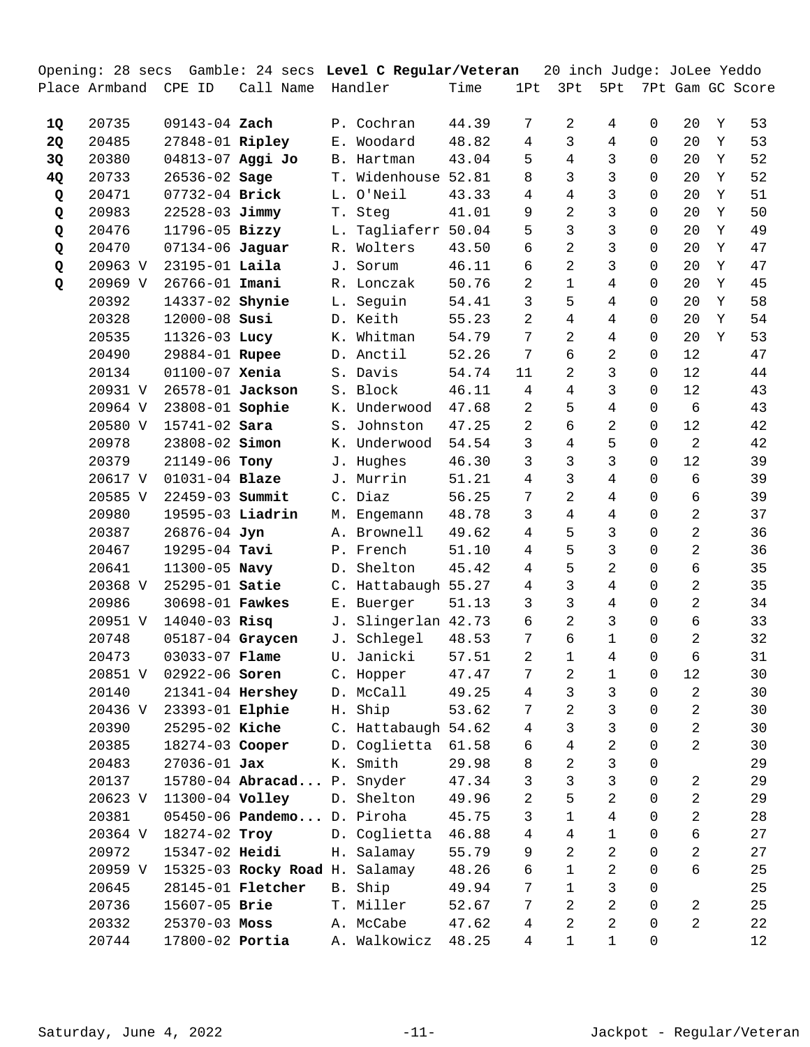|    |                      |                       |                                |            | Opening: 28 secs Gamble: 24 secs Level C Regular/Veteran |       |       |                | 20 inch Judge: JoLee Yeddo |                |              |                |   |                  |
|----|----------------------|-----------------------|--------------------------------|------------|----------------------------------------------------------|-------|-------|----------------|----------------------------|----------------|--------------|----------------|---|------------------|
|    | Place Armband CPE ID |                       | Call Name                      |            | Handler                                                  | Time  |       | 1Pt            | 3Pt                        | 5Pt            |              |                |   | 7Pt Gam GC Score |
|    |                      |                       |                                |            |                                                          |       |       |                |                            |                |              |                |   |                  |
| 1Q | 20735                | 09143-04 Zach         |                                |            | P. Cochran                                               |       | 44.39 | 7              | 2                          | 4              | $\mathbf 0$  | 20             | Y | 53               |
| 2Q | 20485                | 27848-01 Ripley       |                                |            | E. Woodard                                               | 48.82 |       | 4              | 3                          | 4              | 0            | 20             | Y | 53               |
| 3Q | 20380                | 04813-07 Aggi Jo      |                                |            | B. Hartman                                               |       | 43.04 | 5              | 4                          | 3              | 0            | 20             | Y | 52               |
| 4Q | 20733                | 26536-02 Sage         |                                |            | T. Widenhouse 52.81                                      |       |       | 8              | 3                          | 3              | 0            | 20             | Y | 52               |
| Q  | 20471                | 07732-04 Brick        |                                |            | L. O'Neil                                                |       | 43.33 | $\overline{4}$ | $\overline{4}$             | 3              | 0            | 20             | Y | 51               |
| Q  | 20983                | 22528-03 Jimmy        |                                |            | T. Steg                                                  | 41.01 |       | 9              | $\overline{2}$             | 3              | 0            | 20             | Y | 50               |
| Q  | 20476                | 11796-05 Bizzy        |                                | L.         | Tagliaferr 50.04                                         |       |       | 5              | 3                          | 3              | 0            | 20             | Y | 49               |
| Q  | 20470                | $07134 - 06$ Jaguar   |                                |            | R. Wolters                                               |       | 43.50 | 6              | $\overline{a}$             | 3              | $\Omega$     | 20             | Y | 47               |
| Q  | 20963 V              | 23195-01 Laila        |                                | J.         | Sorum                                                    |       | 46.11 | 6              | $\overline{c}$             | 3              | 0            | 20             | Y | 47               |
| Q  | 20969 V              | 26766-01 Imani        |                                |            | R. Lonczak                                               | 50.76 |       | 2              | $1\,$                      | 4              | 0            | 20             | Y | 45               |
|    | 20392                | 14337-02 Shynie       |                                |            | L. Seguin                                                |       | 54.41 | 3              | 5                          | 4              | 0            | 20             | Y | 58               |
|    | 20328                | 12000-08 Susi         |                                |            | D. Keith                                                 |       | 55.23 | 2              | 4                          | 4              | 0            | 20             | Y | 54               |
|    | 20535                | 11326-03 Lucy         |                                |            | K. Whitman                                               |       | 54.79 | 7              | $\overline{a}$             | 4              | 0            | 20             | Y | 53               |
|    | 20490                | 29884-01 Rupee        |                                |            | D. Anctil                                                | 52.26 |       | 7              | 6                          | $\overline{c}$ | 0            | 12             |   | 47               |
|    | 20134                | 01100-07 Xenia        |                                |            | S. Davis                                                 |       | 54.74 | 11             | $\overline{a}$             | 3              | 0            | $1\,2$         |   | 44               |
|    | 20931 V              | 26578-01 Jackson      |                                |            | S. Block                                                 |       | 46.11 | 4              | 4                          | 3              | 0            | 12             |   | 43               |
|    | 20964 V              | 23808-01 Sophie       |                                |            | K. Underwood                                             | 47.68 |       | $\overline{a}$ | 5                          | 4              | $\mathbf 0$  | 6              |   | 43               |
|    | 20580 V              | 15741-02 Sara         |                                |            | S. Johnston                                              | 47.25 |       | $\overline{a}$ | 6                          | $\overline{c}$ | 0            | $1\,2$         |   | 42               |
|    | 20978                | 23808-02 <b>Simon</b> |                                |            | K. Underwood                                             |       | 54.54 | 3              | 4                          | 5              | 0            | $\overline{a}$ |   | 42               |
|    | 20379                | 21149-06 Tony         |                                |            | J. Hughes                                                |       | 46.30 | 3              | 3                          | 3              | 0            | 12             |   | 39               |
|    | 20617 V              | 01031-04 Blaze        |                                |            | J. Murrin                                                |       | 51.21 | 4              | 3                          | 4              | $\Omega$     | 6              |   | 39               |
|    | 20585 V              | 22459-03 Summit       |                                |            | C. Diaz                                                  | 56.25 |       | $\overline{7}$ | 2                          | 4              | $\mathbf 0$  | 6              |   | 39               |
|    | 20980                | 19595-03 Liadrin      |                                |            | M. Engemann                                              | 48.78 |       | 3              | 4                          | 4              | $\Omega$     | $\overline{a}$ |   | 37               |
|    | 20387                | 26876-04 Jyn          |                                |            | A. Brownell                                              | 49.62 |       | 4              | 5                          | 3              | 0            | $\overline{a}$ |   | 36               |
|    | 20467                | 19295-04 Tavi         |                                |            | P. French                                                |       | 51.10 | 4              | 5                          | 3              | $\Omega$     | $\overline{2}$ |   | 36               |
|    | 20641                | 11300-05 Navy         |                                |            | D. Shelton                                               | 45.42 |       | 4              | 5                          | 2              | $\mathbf 0$  | 6              |   | 35               |
|    | 20368 V              | 25295-01 Satie        |                                |            | C. Hattabaugh 55.27                                      |       |       | 4              | 3                          | 4              | 0            | $\overline{a}$ |   | 35               |
|    | 20986                | 30698-01 Fawkes       |                                |            | E. Buerger                                               |       | 51.13 | 3              | 3                          | 4              | 0            | 2              |   | 34               |
|    | 20951 V              | 14040-03 Risg         |                                |            | J. Slingerlan 42.73                                      |       |       | 6              | $\overline{a}$             | 3              | 0            | 6              |   | 33               |
|    | 20748                | 05187-04 Graycen      |                                |            | J. Schlegel                                              | 48.53 |       | 7              | 6                          | $\mathbf 1$    | 0            | $\overline{2}$ |   | 32               |
|    | 20473                | 03033-07 Flame        |                                |            | U. Janicki 57.51                                         |       |       | $\overline{a}$ | $\mathbf 1$                | $\overline{4}$ | $\mathsf{O}$ | 6              |   | 31               |
|    | 20851 V              | 02922-06 Soren        |                                |            | C. Hopper                                                |       | 47.47 | 7              | 2                          | 1              | 0            | 12             |   | 30               |
|    | 20140                | 21341-04 Hershey      |                                |            | D. McCall                                                |       | 49.25 | 4              | 3                          | 3              | 0            | 2              |   | 30               |
|    | 20436 V              | 23393-01 Elphie       |                                | Η.         | Ship                                                     |       | 53.62 | 7              | $\overline{c}$             | 3              | 0            | $\overline{2}$ |   | 30               |
|    | 20390                | 25295-02 Kiche        |                                |            | C. Hattabaugh 54.62                                      |       |       | 4              | 3                          | 3              | 0            | $\overline{2}$ |   | 30               |
|    | 20385                | 18274-03 Cooper       |                                |            | D. Coglietta                                             | 61.58 |       | 6              | 4                          | 2              | 0            | 2              |   | 30               |
|    | 20483                | $27036 - 01$ Jax      |                                |            | K. Smith                                                 |       | 29.98 | 8              | $\overline{a}$             | 3              | 0            |                |   | 29               |
|    | 20137                |                       | 15780-04 Abracad P. Snyder     |            |                                                          |       | 47.34 | 3              | 3                          | 3              | 0            | $\overline{a}$ |   | 29               |
|    | 20623 V              | 11300-04 Volley       |                                |            | D. Shelton                                               | 49.96 |       | $\overline{a}$ | 5                          | $\overline{a}$ | 0            | 2              |   | 29               |
|    | 20381                |                       | $05450 - 06$ Pandemo           |            | D. Piroha                                                | 45.75 |       | 3              | $\mathbf 1$                | 4              | 0            | 2              |   | 28               |
|    | 20364 V              | 18274-02 Troy         |                                |            | D. Coglietta                                             | 46.88 |       | 4              | 4                          | 1              | 0            | 6              |   | 27               |
|    | 20972                | 15347-02 Heidi        |                                |            | H. Salamay                                               |       | 55.79 | 9              | $\overline{c}$             | $\overline{a}$ | 0            | 2              |   | 27               |
|    | 20959 V              |                       | 15325-03 Rocky Road H. Salamay |            |                                                          | 48.26 |       | 6              | $1\,$                      | 2              | 0            | 6              |   | 25               |
|    | 20645                |                       | 28145-01 <b>Fletcher</b>       | <b>B</b> . | Ship                                                     |       | 49.94 | 7              | $1\,$                      | 3              | 0            |                |   | 25               |
|    | 20736                | 15607-05 Brie         |                                |            | T. Miller                                                | 52.67 |       | 7              | $\overline{a}$             | $\overline{a}$ | 0            | 2              |   | 25               |
|    | 20332                | $25370 - 03$ Moss     |                                |            | A. McCabe                                                |       | 47.62 | 4              | $\overline{a}$             | $\overline{a}$ | 0            | $\overline{a}$ |   | 22               |
|    | 20744                | 17800-02 Portia       |                                |            | A. Walkowicz                                             | 48.25 |       | 4              | 1                          | $\mathbf 1$    | 0            |                |   | 12               |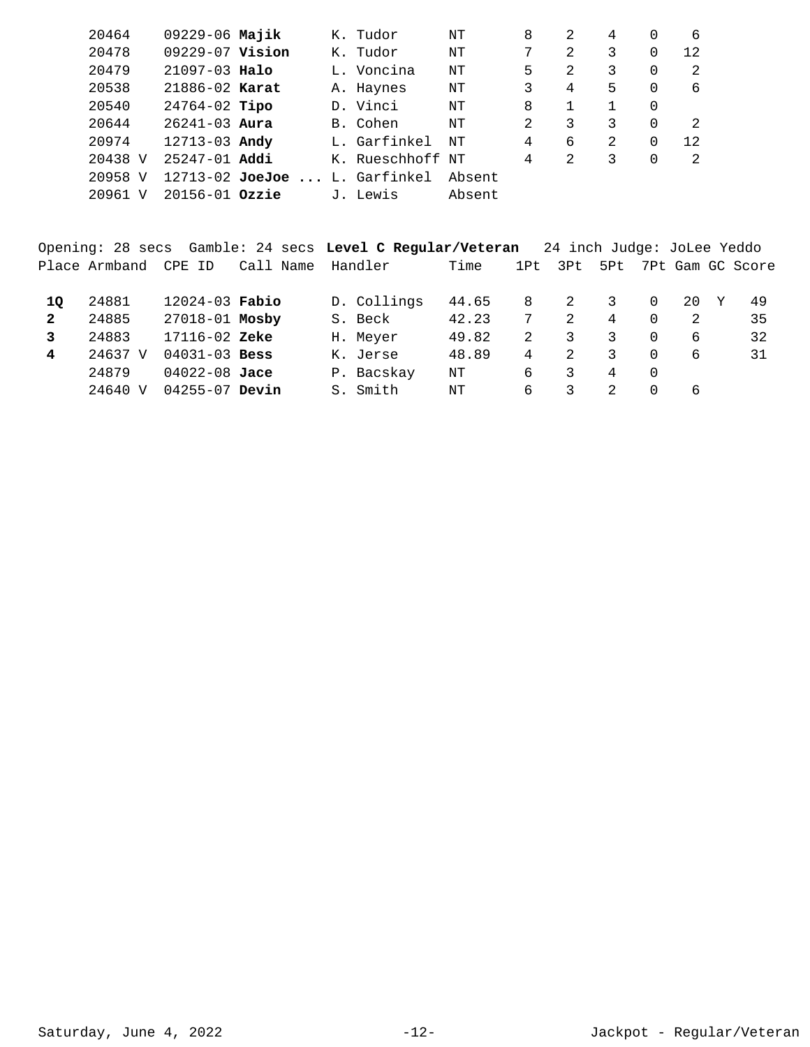| $09229 - 06$ Majik<br>20464<br>8<br>K. Tudor<br>2<br>4<br>NΤ                 |                |  |
|------------------------------------------------------------------------------|----------------|--|
| 09229-07 Vision<br>7<br>20478<br>2<br>3<br>K. Tudor<br>ΝT                    | 0<br>12        |  |
| 20479<br>5<br>$21097 - 03$ Halo<br>$\mathcal{L}$<br>3<br>L. Voncina<br>NΤ    | $\Omega$<br>2  |  |
| 3<br>20538<br>5.<br>21886-02 Karat<br>4<br>A. Haynes<br>ΝT                   | 0<br>6         |  |
| 20540<br>$24764-02$ Tipo<br>D. Vinci<br>8<br>NΤ                              | $\Omega$       |  |
| $26241 - 03$ Aura<br>2<br>20644<br>3<br>B. Cohen<br>3<br>NΤ                  | $\Omega$<br>2  |  |
| б<br>20974<br>$12713 - 03$ Andy<br>L. Garfinkel<br>4<br>$\mathfrak{D}$<br>NΤ | $\Omega$<br>12 |  |
| 20438 V<br>$25247 - 01$ Addi<br>K. Rueschhoff NT<br>4<br>2<br>3              | $\Omega$<br>2  |  |
| 20958<br>$12713 - 02$ JoeJoe  L. Garfinkel<br>Absent<br>V                    |                |  |
| $20156 - 01$ Ozzie<br>20961<br>Absent<br>J. Lewis<br>ΔT                      |                |  |

Opening: 28 secs Gamble: 24 secs **Level C Regular/Veteran** 24 inch Judge: JoLee Yeddo Place Armband CPE ID Call Name Handler Time 1Pt 3Pt 5Pt 7Pt Gam GC Score

| 10 | 24881   | $12024 - 03$ Fabio |  | D. Collings | 44.65 | 8  |   | 20 | 49 |
|----|---------|--------------------|--|-------------|-------|----|---|----|----|
|    | 24885   | 27018-01 Mosby     |  | S. Beck     | 42.23 |    | 4 |    | 35 |
|    | 24883   | $17116 - 02$ Zeke  |  | H. Meyer    | 49.82 |    |   |    | 32 |
| 4  | 24637 V | $04031 - 03$ Bess  |  | K. Jerse    | 48.89 | 4  |   |    | 31 |
|    | 24879   | $04022 - 08$ Jace  |  | P. Bacskay  | NΤ    | 6  |   |    |    |
|    | 24640 V | $04255 - 07$ Devin |  | Smith       | NΤ    | 6. |   |    |    |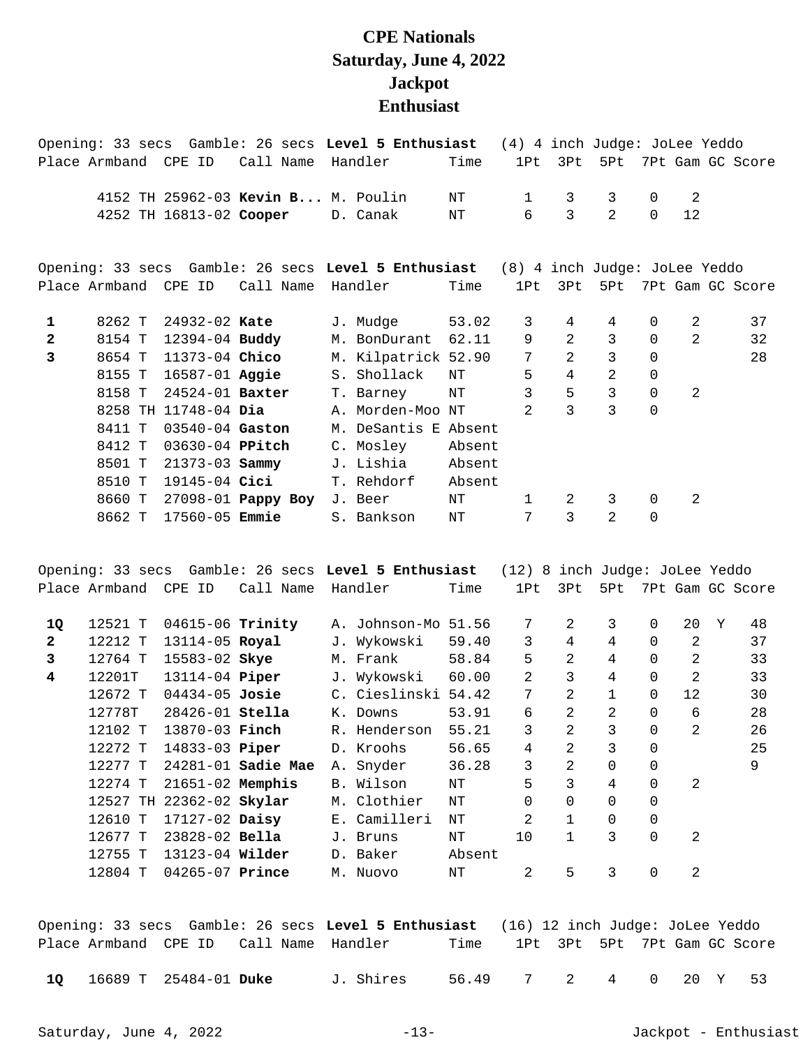## **CPE Nationals Saturday, June 4, 2022 Jackpot Enthusiast**

|                |        |                        |                                    | Opening: 33 secs Gamble: 26 secs Level 5 Enthusiast                               |        | (4) 4 inch Judge: JoLee Yeddo |                |                |             |                |                  |
|----------------|--------|------------------------|------------------------------------|-----------------------------------------------------------------------------------|--------|-------------------------------|----------------|----------------|-------------|----------------|------------------|
| Place Armband  |        | CPE ID                 | Call Name                          | Handler                                                                           | Time   | 1Pt                           | 3Pt            | 5Pt            |             |                | 7Pt Gam GC Score |
|                |        |                        | 4152 TH 25962-03 Kevin B M. Poulin |                                                                                   | ΝT     | $\mathbf{1}$                  | 3              | 3              | $\mathbf 0$ | 2              |                  |
|                |        |                        | 4252 TH 16813-02 Cooper            | D. Canak                                                                          | ΝT     | 6                             | 3              | $\overline{2}$ | $\Omega$    | 12             |                  |
|                |        |                        |                                    | Opening: 33 secs Gamble: 26 secs Level 5 Enthusiast (8) 4 inch Judge: JoLee Yeddo |        |                               |                |                |             |                |                  |
|                |        | Place Armband CPE ID   | Call Name                          | Handler                                                                           | Time   | 1P <sub>t</sub>               | 3Pt            | 5Pt            |             |                | 7Pt Gam GC Score |
| 1              | 8262 T | 24932-02 Kate          |                                    | J. Mudge                                                                          | 53.02  | 3                             | 4              | 4              | $\Omega$    | 2              | 37               |
| $\mathbf{2}$   | 8154 T | 12394-04 Buddy         |                                    | M. BonDurant                                                                      | 62.11  | 9                             | 2              | $\overline{3}$ | $\Omega$    | $\overline{2}$ | 32               |
| $\overline{3}$ | 8654 T | 11373-04 Chico         |                                    | M. Kilpatrick 52.90                                                               |        | 7                             | $\overline{2}$ | $\overline{3}$ | $\Omega$    |                | 28               |
|                | 8155 T | 16587-01 Aggie         |                                    | S. Shollack                                                                       | NΤ     | 5                             | $\overline{4}$ | $\overline{a}$ | $\Omega$    |                |                  |
|                | 8158 T | 24524-01 <b>Baxter</b> |                                    | T. Barney                                                                         | ΝT     | 3                             | 5              | $\mathsf{3}$   | 0           | 2              |                  |
|                |        | 8258 TH 11748-04 Dia   |                                    | A. Morden-Moo NT                                                                  |        | $\mathfrak{D}$                | 3              | $\overline{3}$ | $\Omega$    |                |                  |
|                | 8411 T | 03540-04 Gaston        |                                    | M. DeSantis E Absent                                                              |        |                               |                |                |             |                |                  |
|                | 8412 T | 03630-04 PPitch        |                                    | C. Mosley                                                                         | Absent |                               |                |                |             |                |                  |
|                | 8501 T | 21373-03 Sammy         |                                    | J. Lishia                                                                         | Absent |                               |                |                |             |                |                  |
|                | 8510 T | 19145-04 <b>Cici</b>   |                                    | T. Rehdorf                                                                        | Absent |                               |                |                |             |                |                  |
|                | 8660 T |                        | 27098-01 Pappy Boy                 | J. Beer                                                                           | NΤ     | $\mathbf{1}$                  | 2              | $\mathbf{3}$   | $\Omega$    | 2              |                  |
|                | 8662 T | $17560 - 05$ Emmie     |                                    | S. Bankson                                                                        | NT     | 7                             | 3              | $\mathfrak{D}$ | $\mathbf 0$ |                |                  |

Opening: 33 secs Gamble: 26 secs **Level 5 Enthusiast** (12) 8 inch Judge: JoLee Yeddo Place Armband CPE ID Call Name Handler Time 1Pt 3Pt 5Pt 7Pt Gam GC Score 12521 T 04615-06 A. Johnson-Mo 51.56 7 2 3 0 20 Y 48 **1Q Trinity**  12212 T 13114-05 J. Wykowski 59.40 3 4 4 0 2 37 **2 Royal**  12764 T 15583-02 M. Frank 58.84 5 2 4 0 2 33 **3 Skye**  12201T 13114-04 J. Wykowski 60.00 2 3 4 0 2 33 **4 Piper**  12672 T 04434-05 C. Cieslinski 54.42 7 2 1 0 12 30 **Josie**  12778T 28426-01 K. Downs 53.91 6 2 2 0 6 28 **Stella**  12102 T 13870-03 R. Henderson 55.21 3 2 3 0 2 26 **Finch**  12272 T 14833-03 D. Kroohs 56.65 4 2 3 0 25 **Piper**  12277 T 24281-01 A. Snyder 36.28 3 2 0 0 9 **Sadie Mae**  12274 T 21651-02 B. Wilson NT 5 3 4 0 2 **Memphis**  12527 TH 22362-02 M. Clothier NT 0 0 0 0 **Skylar**  12610 T 17127-02 E. Camilleri NT 2 1 0 0 **Daisy**  12677 T 23828-02 J. Bruns NT 10 1 3 0 2 **Bella**  12755 T 13123-04 **Wilder** D. Baker Absent 12804 T 04265-07 M. Nuovo NT 2 5 3 0 2 **Prince** 

|                          |  |                                        | Opening: 33 secs Gamble: 26 secs Level 5 Enthusiast (16) 12 inch Judge: JoLee Yeddo |                              |  |  |  |
|--------------------------|--|----------------------------------------|-------------------------------------------------------------------------------------|------------------------------|--|--|--|
|                          |  | Place Armband CPE ID Call Name Handler | Time                                                                                | 1Pt 3Pt 5Pt 7Pt Gam GC Score |  |  |  |
| 10 16689 T 25484-01 Duke |  | J. Shires                              | 56.49 7 2 4 0 20 Y 53                                                               |                              |  |  |  |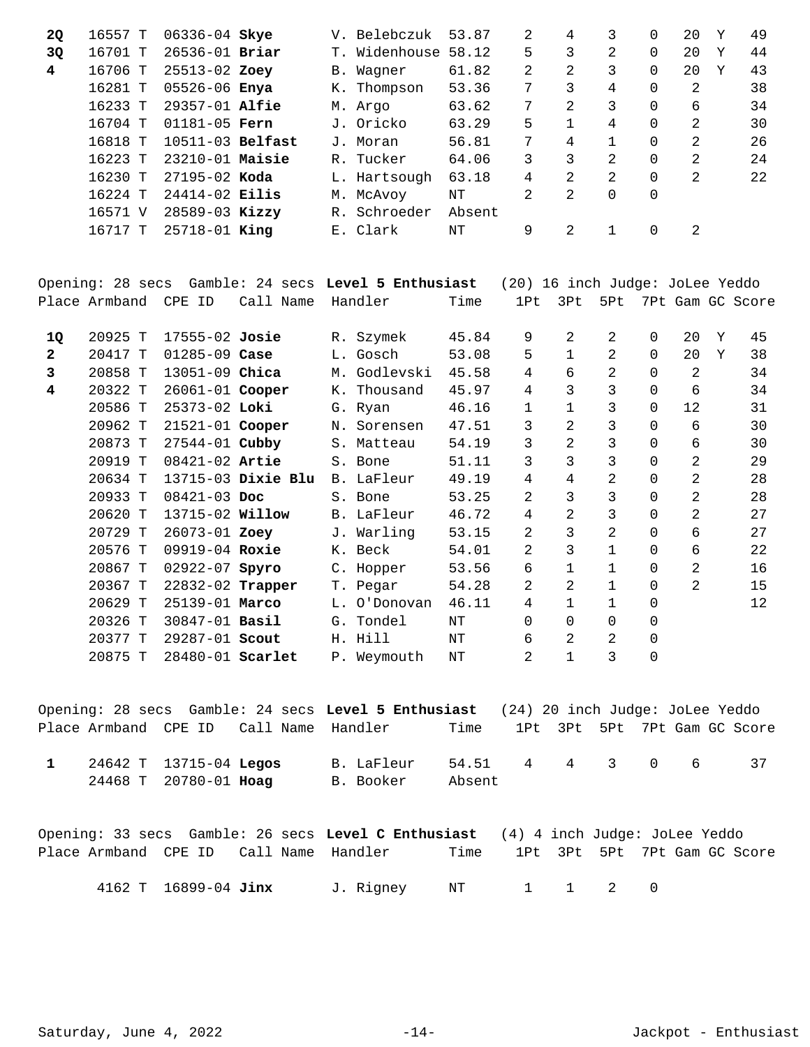| <b>2Q</b> | 16557 T | 06336-04 Skye      |       | V. Belebczuk        | 53.87  | 2 | 4             | 3              | 0        | 20            | Y | 49 |
|-----------|---------|--------------------|-------|---------------------|--------|---|---------------|----------------|----------|---------------|---|----|
| 3Q        | 16701 T | $26536 - 01$ Briar |       | T. Widenhouse 58.12 |        | 5 | 3             | 2              | $\Omega$ | 20            | Y | 44 |
| 4         | 16706 T | 25513-02 Zoey      |       | B. Waqner           | 61.82  | 2 | 2             | 3              | $\Omega$ | 20            | Y | 43 |
|           | 16281 T | 05526-06 Enya      |       | K. Thompson         | 53.36  | 7 | 3             | 4              | $\Omega$ | 2             |   | 38 |
|           | 16233 T | $29357 - 01$ Alfie |       | M. Argo             | 63.62  | 7 | 2             | 3              | 0        | 6             |   | 34 |
|           | 16704 T | $01181 - 05$ Fern  |       | J. Oricko           | 63.29  | 5 |               | 4              | $\Omega$ | 2             |   | 30 |
|           | 16818 T | $10511-03$ Belfast |       | J. Moran            | 56.81  | 7 | 4             |                | 0        | 2             |   | 26 |
|           | 16223 T | $23210-01$ Maisie  |       | R. Tucker           | 64.06  | 3 | 3             | $\mathfrak{D}$ | $\Omega$ | $\mathcal{L}$ |   | 24 |
|           | 16230 T | $27195 - 02$ Koda  |       | L. Hartsough        | 63.18  | 4 | $\mathcal{L}$ | 2              | $\Omega$ | 2             |   | 22 |
|           | 16224 T | $24414 - 02$ Eilis |       | M. McAvoy           | NΤ     | 2 | 2             | 0              | 0        |               |   |    |
|           | 16571 V | $28589 - 03$ Kizzy | $R$ . | Schroeder           | Absent |   |               |                |          |               |   |    |
|           | 16717 T | $25718 - 01$ King  |       | E. Clark            | NΤ     | 9 | 2             |                | $\Omega$ | 2             |   |    |

|                         |               |                    |           |  | Opening: 28 secs Gamble: 24 secs Level 5 Enthusiast |       | (20) 16 inch Judge: JoLee Yeddo |                |                |          |                |   |                  |
|-------------------------|---------------|--------------------|-----------|--|-----------------------------------------------------|-------|---------------------------------|----------------|----------------|----------|----------------|---|------------------|
|                         | Place Armband | CPE ID             | Call Name |  | Handler                                             | Time  | 1P <sub>t</sub>                 | 3Pt            | 5Pt            |          |                |   | 7Pt Gam GC Score |
| 1Q                      | 20925 T       | $17555 - 02$ Josie |           |  | R. Szymek                                           | 45.84 | 9                               | 2              | 2              | $\Omega$ | 20             | Y | 45               |
| $\overline{a}$          | 20417 T       | $01285 - 09$ Case  |           |  | L. Gosch                                            | 53.08 | 5                               | $\mathbf 1$    | 2              | 0        | 20             | Y | 38               |
| 3                       | 20858 T       | $13051 - 09$ Chica |           |  | M. Godlevski                                        | 45.58 | 4                               | 6              | 2              | $\Omega$ | 2              |   | 34               |
| $\overline{\mathbf{4}}$ | 20322 T       | 26061-01 Cooper    |           |  | K. Thousand                                         | 45.97 | 4                               | 3              | 3              | $\Omega$ | 6              |   | 34               |
|                         | 20586 T       | 25373-02 Loki      |           |  | G. Ryan                                             | 46.16 | 1                               | 1              | 3              | 0        | 12             |   | 31               |
|                         | 20962 T       | 21521-01 Cooper    |           |  | N. Sorensen                                         | 47.51 | 3                               | 2              | 3              | $\Omega$ | 6              |   | 30               |
|                         | 20873 T       | 27544-01 Cubby     |           |  | S. Matteau                                          | 54.19 | 3                               | $\overline{2}$ | 3              | $\Omega$ | 6              |   | 30               |
|                         | 20919 T       | 08421-02 Artie     |           |  | S. Bone                                             | 51.11 | 3                               | 3              | 3              | $\Omega$ | $\overline{a}$ |   | 29               |
|                         | 20634 T       | 13715-03 Dixie Blu |           |  | B. LaFleur                                          | 49.19 | $\overline{4}$                  | $\overline{4}$ | 2              | $\Omega$ | $\overline{2}$ |   | 28               |
|                         | 20933 T       | 08421-03 Doc       |           |  | S. Bone                                             | 53.25 | 2                               | 3              | 3              | 0        | $\overline{2}$ |   | 28               |
|                         | 20620 T       | 13715-02 Willow    |           |  | B. LaFleur                                          | 46.72 | $\overline{4}$                  | 2              | 3              | $\Omega$ | $\overline{a}$ |   | 27               |
|                         | 20729 T       | 26073-01 Zoey      |           |  | J. Warling                                          | 53.15 | 2                               | 3              | $\overline{2}$ | $\Omega$ | 6              |   | 27               |
|                         | 20576 T       | 09919-04 Roxie     |           |  | K. Beck                                             | 54.01 | $\overline{a}$                  | 3              | $\mathbf{1}$   | 0        | 6              |   | 22               |
|                         | 20867 T       | $02922 - 07$ Spyro |           |  | C. Hopper                                           | 53.56 | 6                               | $\mathbf 1$    | 1              | $\Omega$ | 2              |   | 16               |
|                         | 20367 T       | 22832-02 Trapper   |           |  | T. Pegar                                            | 54.28 | 2                               | 2              | 1              | 0        | $\overline{2}$ |   | 15               |
|                         | 20629 T       | 25139-01 Marco     |           |  | L. O'Donovan                                        | 46.11 | 4                               | $\mathbf{1}$   | $\mathbf{1}$   | $\Omega$ |                |   | 12               |
|                         | 20326 T       | 30847-01 Basil     |           |  | G. Tondel                                           | NΤ    | $\Omega$                        | 0              | $\Omega$       | $\Omega$ |                |   |                  |
|                         | 20377 T       | 29287-01 Scout     |           |  | H. Hill                                             | NT    | 6                               | 2              | 2              | 0        |                |   |                  |
|                         | 20875 T       | 28480-01 Scarlet   |           |  | P. Weymouth                                         | NΤ    | 2                               | 1              | 3              | 0        |                |   |                  |

|  |                        |                                        | Opening: 28 secs Gamble: 24 secs Level 5 Enthusiast (24) 20 inch Judge: JoLee Yeddo |                 |  |  |                              |
|--|------------------------|----------------------------------------|-------------------------------------------------------------------------------------|-----------------|--|--|------------------------------|
|  |                        | Place Armband CPE ID Call Name Handler |                                                                                     | Time            |  |  | 1Pt 3Pt 5Pt 7Pt Gam GC Score |
|  | 24642 T 13715-04 Legos |                                        | B. LaFleur                                                                          | 54.51 4 4 3 0 6 |  |  |                              |
|  | 24468 T 20780-01 Hoag  |                                        | B. Booker                                                                           | Absent          |  |  |                              |

| Opening: 33 secs Gamble: 26 secs Level C Enthusiast (4) 4 inch Judge: JoLee Yeddo |                      |  |           |            |  |                              |  |  |
|-----------------------------------------------------------------------------------|----------------------|--|-----------|------------|--|------------------------------|--|--|
| Place Armband CPE ID Call Name Handler                                            |                      |  |           | Time       |  | 1Pt 3Pt 5Pt 7Pt Gam GC Score |  |  |
|                                                                                   | 4162 T 16899-04 Jinx |  | J. Rignev | NT 1 1 2 0 |  |                              |  |  |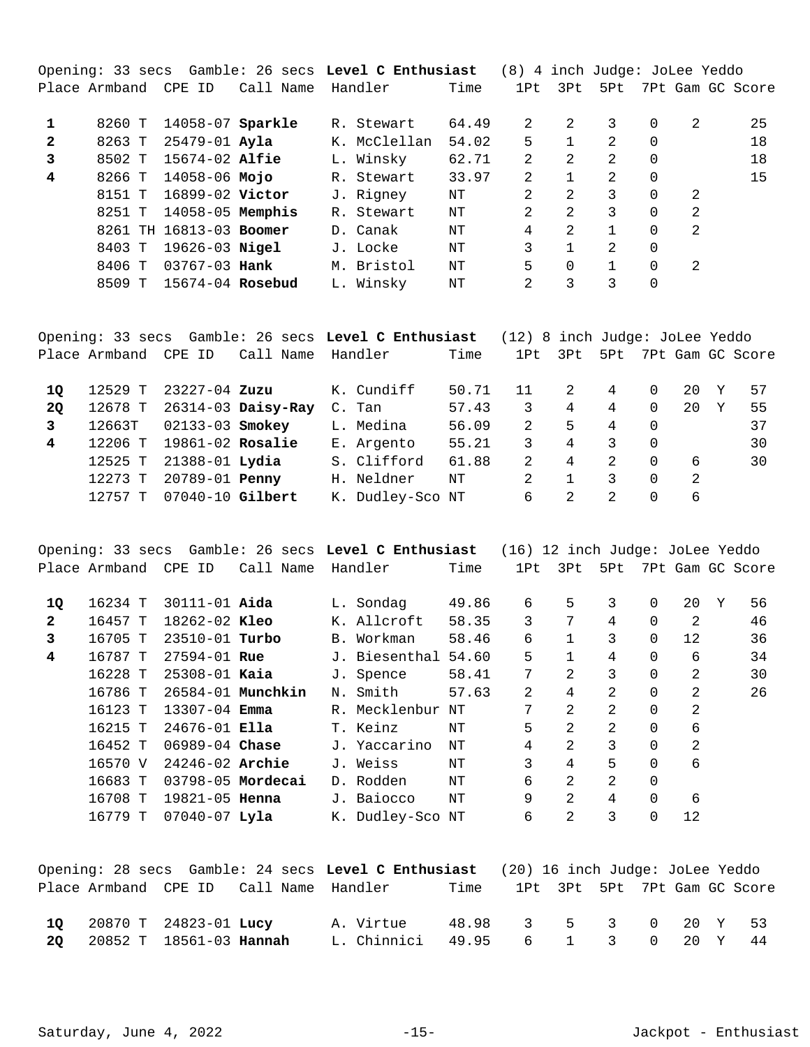|              |               |                         |           |              |       | (8) 4 inch Judge: JoLee Yeddo |                |              |          |                |                  |
|--------------|---------------|-------------------------|-----------|--------------|-------|-------------------------------|----------------|--------------|----------|----------------|------------------|
|              | Place Armband | CPE ID                  | Call Name | Handler      | Time  | 1Pt                           | 3Pt            | 5Pt          |          |                | 7Pt Gam GC Score |
|              |               |                         |           |              |       |                               |                |              |          |                |                  |
|              | 8260 T        | 14058-07 Sparkle        |           | R. Stewart   | 64.49 | 2                             | $\mathcal{L}$  | 3            | $\Omega$ | $\mathcal{L}$  | 25               |
| $\mathbf{2}$ | 8263 T        | 25479-01 <b>Ayla</b>    |           | K. McClellan | 54.02 | 5                             |                | 2            | $\Omega$ |                | 18               |
| 3            | 8502 T        | $15674 - 02$ Alfie      |           | L. Winsky    | 62.71 | 2                             | 2              | 2            | $\Omega$ |                | 18               |
| 4            | 8266 T        | 14058-06 <b>Mojo</b>    |           | R. Stewart   | 33.97 | 2                             | 1              | 2            | $\Omega$ |                | 15               |
|              | 8151 T        | 16899-02 Victor         |           | J. Rigney    | NΤ    | 2                             | 2              | 3            | $\Omega$ | 2              |                  |
|              | 8251 T        | $14058-05$ Memphis      |           | R. Stewart   | NΤ    | $\mathfrak{D}$                | $\mathfrak{D}$ | 3            | $\Omega$ | $\mathfrak{D}$ |                  |
|              |               | 8261 TH 16813-03 Boomer |           | D. Canak     | ΝT    | 4                             | $\mathfrak{D}$ | $\mathbf{1}$ | $\Omega$ | $\mathfrak{D}$ |                  |
|              | 8403 T        | $19626 - 03$ Nigel      |           | J. Locke     | NΤ    | 3                             |                | 2            | $\Omega$ |                |                  |
|              | 8406 T        | $03767 - 03$ Hank       |           | M. Bristol   | NΤ    | 5                             | $\Omega$       |              | $\Omega$ | 2              |                  |
|              | 8509 T        | 15674-04 Rosebud        |           | L. Winsky    | NΤ    | 2                             | 3              | 3            | 0        |                |                  |
|              |               |                         |           |              |       |                               |                |              |          |                |                  |

|           |                      |                    |                      | Opening: 33 secs Gamble: 26 secs Level C Enthusiast |       | (12) 8 inch Judge: JoLee Yeddo |     |               |          |    |                  |
|-----------|----------------------|--------------------|----------------------|-----------------------------------------------------|-------|--------------------------------|-----|---------------|----------|----|------------------|
|           | Place Armband CPE ID |                    | Call Name            | Handler                                             | Time  | 1Pt                            | 3Pt | 5Pt           |          |    | 7Pt Gam GC Score |
| 10        | 12529 T              | 23227-04 Zuzu      |                      | K. Cundiff                                          | 50.71 | 11                             | 2   | 4             | 0        | 20 | 57               |
| <b>20</b> | 12678 T              |                    | $26314-03$ Daisy-Ray | C. Tan                                              | 57.43 | 3                              | 4   | 4             | $\Omega$ | 20 | 55               |
| 3         | 12663T               | 02133-03 Smokey    |                      | L. Medina                                           | 56.09 | $\mathcal{L}$                  | 5   | 4             | $\Omega$ |    | 37               |
| 4         | 12206 T              | $19861-02$ Rosalie |                      | E. Argento                                          | 55.21 | 3                              | 4   | 3             | $\Omega$ |    | 30               |
|           | 12525 T              | 21388-01 Lydia     |                      | S. Clifford                                         | 61.88 | $\mathcal{L}$                  | 4   | $\mathcal{L}$ | $\Omega$ | 6  | 30               |
|           | 12273 T              | 20789-01 Penny     |                      | H. Neldner                                          | NT    | $\mathcal{L}$                  |     | 3             | $\Omega$ | 2  |                  |
|           | $12757$ T            | 07040-10 Gilbert   |                      | K. Dudley-Sco NT                                    |       | 6                              | 2   | $\mathcal{L}$ | 0        | 6  |                  |

|              | Opening: 33 secs Gamble: 26 secs Level C Enthusiast |  |                      |                   |                  |       | (16) 12 inch Judge: JoLee Yeddo |                |                |             |    |    |                  |
|--------------|-----------------------------------------------------|--|----------------------|-------------------|------------------|-------|---------------------------------|----------------|----------------|-------------|----|----|------------------|
|              |                                                     |  | Place Armband CPE ID | Call Name         | Handler          | Time  | 1Pt                             | 3Pt            | 5Pt            |             |    |    | 7Pt Gam GC Score |
| 1Q           | 16234 T                                             |  | $30111 - 01$ Aida    |                   | L. Sondag        | 49.86 | 6                               | 5              | 3              | $\mathbf 0$ | 20 | Y. | 56               |
| $\mathbf{2}$ | 16457 T                                             |  | $18262 - 02$ Kleo    |                   | K. Allcroft      | 58.35 | 3                               | 7              | 4              | $\Omega$    | 2  |    | 46               |
| 3            | 16705 T                                             |  | $23510 - 01$ Turbo   |                   | B. Workman       | 58.46 | 6                               | $\mathbf{1}$   | 3              | $\Omega$    | 12 |    | 36               |
| 4            | 16787 T                                             |  | $27594 - 01$ Rue     |                   | J. Biesenthal    | 54.60 | 5                               | 1              | 4              | $\Omega$    | 6  |    | 34               |
|              | 16228 T                                             |  | $25308 - 01$ Kaia    |                   | J. Spence        | 58.41 | 7                               | $\mathfrak{D}$ | 3              | $\Omega$    | 2  |    | 30               |
|              | 16786 T                                             |  |                      | 26584-01 Munchkin | N. Smith         | 57.63 | 2                               | 4              | $\overline{2}$ | $\Omega$    | 2  |    | 26               |
|              | 16123 T                                             |  | $13307 - 04$ Emma    |                   | R. Mecklenbur    | NΤ    | 7                               | 2              | 2              | $\Omega$    | 2  |    |                  |
|              | 16215 T                                             |  | $24676 - 01$ Ella    |                   | T. Keinz         | NΤ    | 5                               | $\mathfrak{D}$ | $\overline{2}$ | $\Omega$    | 6  |    |                  |
|              | 16452 T                                             |  | $06989 - 04$ Chase   |                   | J. Yaccarino     | NΤ    | 4                               | 2              | 3              | $\Omega$    | 2  |    |                  |
|              | 16570 V                                             |  | $24246 - 02$ Archie  |                   | J. Weiss         | NΤ    | 3                               | 4              | 5              | $\Omega$    | 6  |    |                  |
|              | 16683 T                                             |  |                      | 03798-05 Mordecai | D. Rodden        | NΤ    | 6                               | 2              | 2              | 0           |    |    |                  |
|              | 16708 T                                             |  | $19821 - 05$ Henna   |                   | J. Baiocco       | NΤ    | 9                               | 2              | 4              | $\Omega$    | 6  |    |                  |
|              | 16779 T                                             |  | $07040 - 07$ Lyla    |                   | K. Dudley-Sco NT |       | 6                               | 2              | 3              | $\Omega$    | 12 |    |                  |

|  |                                          | Opening: 28 secs Gamble: 24 secs Level C Enthusiast (20) 16 inch Judge: JoLee Yeddo |      |                       |  |  |                              |
|--|------------------------------------------|-------------------------------------------------------------------------------------|------|-----------------------|--|--|------------------------------|
|  |                                          | Place Armband CPE ID Call Name Handler                                              | Time |                       |  |  | 1Pt 3Pt 5Pt 7Pt Gam GC Score |
|  | 10 20870 T 24823-01 Lucy                 | A. Virtue                                                                           |      | 48.98 3 5 3 0 20 Y 53 |  |  |                              |
|  | <b>20</b> 20852 T 18561-03 <b>Hannah</b> | L. Chinnici 49.95 6 1 3 0 20 Y 44                                                   |      |                       |  |  |                              |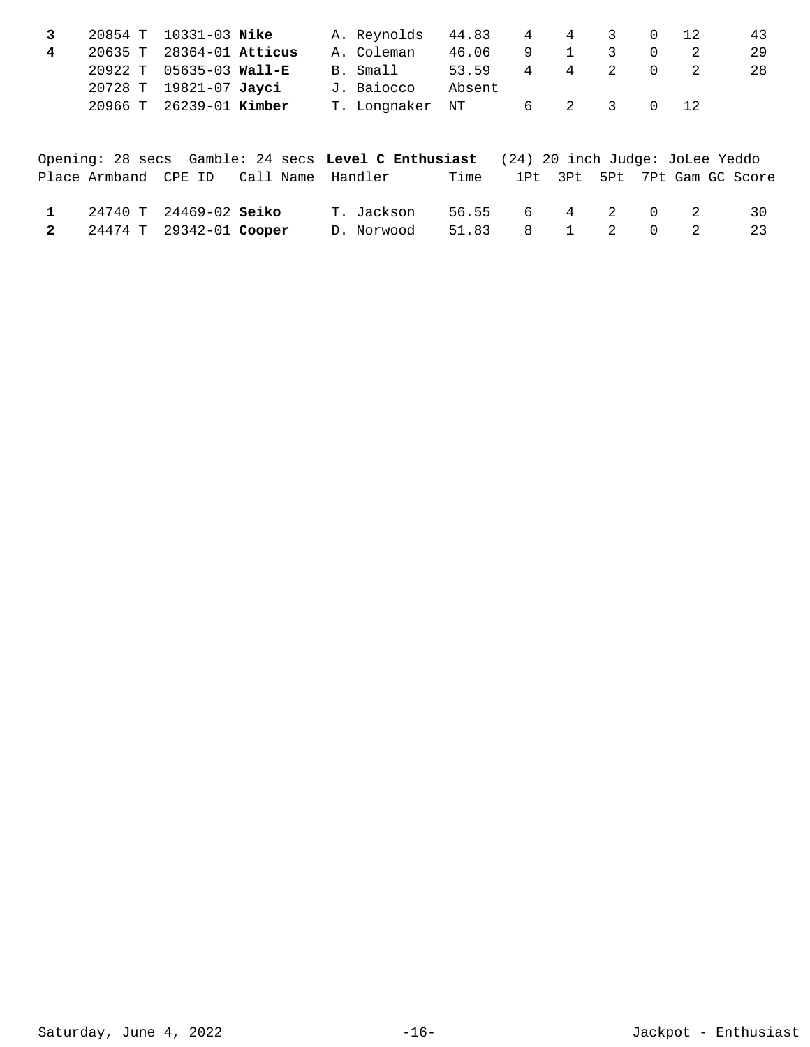|  | 43                                                                 |
|--|--------------------------------------------------------------------|
|  |                                                                    |
|  | 28                                                                 |
|  |                                                                    |
|  |                                                                    |
|  | 44.83 4 4 3 0 12<br>$\overline{0}$<br>$\overline{0}$<br>6 2 3 0 12 |

|                           |                                        | Opening: 28 secs Gamble: 24 secs Level C Enthusiast (24) 20 inch Judge: JoLee Yeddo |      |                 |  |  |                              |
|---------------------------|----------------------------------------|-------------------------------------------------------------------------------------|------|-----------------|--|--|------------------------------|
|                           | Place Armband CPE ID Call Name Handler |                                                                                     | Time |                 |  |  | 1Pt 3Pt 5Pt 7Pt Gam GC Score |
| 1 24740 T 24469-02 Seiko  |                                        | T. Jackson                                                                          |      | 56.55 6 4 2 0 2 |  |  | 30                           |
| 2 24474 T 29342-01 Cooper |                                        | D. Norwood                                                                          |      | 51.83 8 1 2 0 2 |  |  | 23                           |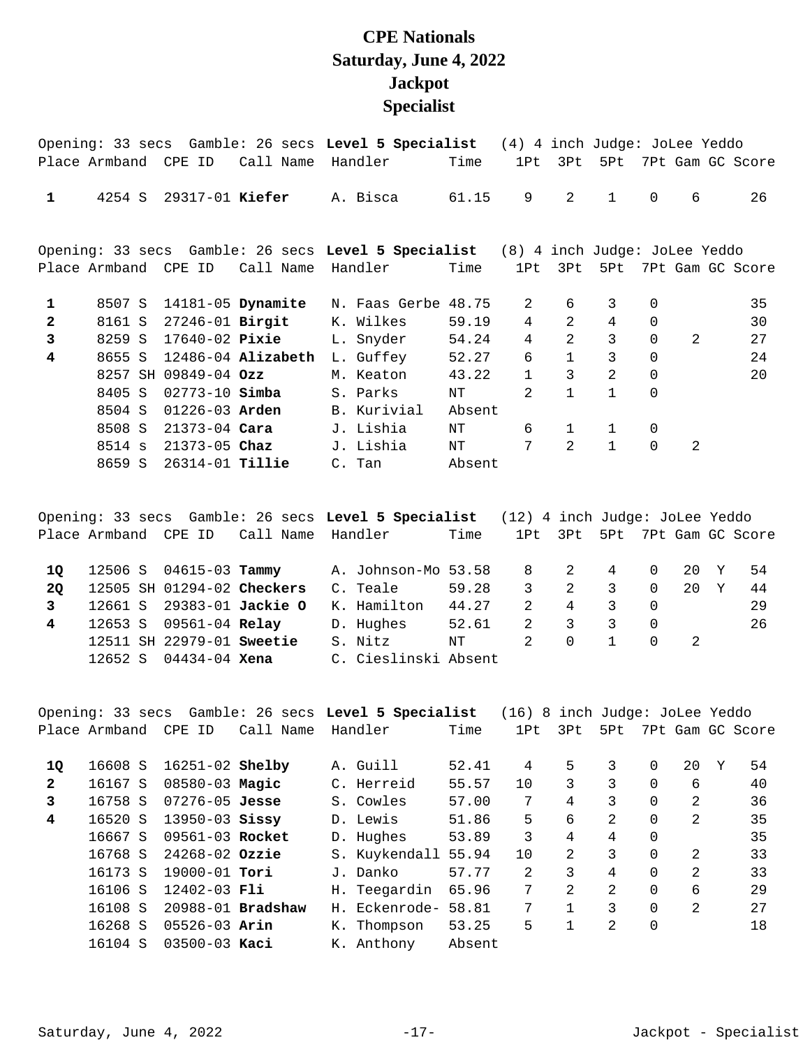## **CPE Nationals Saturday, June 4, 2022 Jackpot Specialist**

|                         |         |                        |                        | Opening: 33 secs Gamble: 26 secs Level 5 Specialist (4) 4 inch Judge: JoLee Yeddo |        |                |                |                |                |                |                  |
|-------------------------|---------|------------------------|------------------------|-----------------------------------------------------------------------------------|--------|----------------|----------------|----------------|----------------|----------------|------------------|
|                         |         | Place Armband CPE ID   | Call Name              | Handler                                                                           | Time   | 1Pt            | 3Pt            | 5Pt            |                |                | 7Pt Gam GC Score |
| $\mathbf{1}$            | 4254 S  | 29317-01 Kiefer        |                        | A. Bisca                                                                          | 61.15  | 9              | 2              | $\mathbf{1}$   | $\overline{0}$ | 6              | 26               |
|                         |         |                        |                        | Opening: 33 secs Gamble: 26 secs Level 5 Specialist (8) 4 inch Judge: JoLee Yeddo |        |                |                |                |                |                |                  |
|                         |         | Place Armband CPE ID   | Call Name              | Handler                                                                           | Time   | 1Pt            | 3Pt            | 5Pt            |                |                | 7Pt Gam GC Score |
| $\mathbf{1}$            | 8507 S  |                        | 14181-05 Dynamite      | N. Faas Gerbe 48.75                                                               |        | 2              | 6              | 3              | $\Omega$       |                | 35               |
| $\overline{2}$          | 8161 S  | 27246-01 Birgit        |                        | K. Wilkes                                                                         | 59.19  | $\overline{4}$ | $\overline{2}$ | 4              | $\Omega$       |                | 30               |
| 3                       | 8259 S  | $17640 - 02$ Pixie     |                        | L. Snyder                                                                         | 54.24  | $\overline{4}$ | $\overline{2}$ | 3              | $\Omega$       | $\mathfrak{D}$ | 27               |
| $\overline{\mathbf{4}}$ | 8655 S  |                        | $12486 - 04$ Alizabeth | L. Guffey                                                                         | 52.27  | б              | $\mathbf{1}$   | 3              | $\Omega$       |                | 24               |
|                         | 8257 SH | 09849-04 $Ozz$         |                        | M. Keaton                                                                         | 43.22  | $\mathbf{1}$   | 3              | $\overline{2}$ | $\Omega$       |                | 20               |
|                         | 8405 S  | $02773 - 10$ Simba     |                        | S. Parks                                                                          | ΝT     | $\mathfrak{D}$ | $\mathbf{1}$   | $\mathbf{1}$   | $\Omega$       |                |                  |
|                         | 8504 S  | $01226 - 03$ Arden     |                        | B. Kurivial                                                                       | Absent |                |                |                |                |                |                  |
|                         | 8508 S  | $21373 - 04$ Cara      |                        | J. Lishia                                                                         | NΤ     | 6              | $\mathbf{1}$   | $\mathbf{1}$   | $\Omega$       |                |                  |
|                         | 8514 s  | $21373 - 05$ Chaz      |                        | J. Lishia                                                                         | NT     | 7              | $\overline{2}$ | $\mathbf{1}$   | $\Omega$       | 2              |                  |
|                         | 8659 S  | 26314-01 <b>Tillie</b> |                        | C. Tan                                                                            | Absent |                |                |                |                |                |                  |

|    |         |                               |                                        | Opening: 33 secs Gamble: 26 secs Level 5 Specialist (12) 4 inch Judge: JoLee Yeddo |       |                |          |   |          |        |     |                              |
|----|---------|-------------------------------|----------------------------------------|------------------------------------------------------------------------------------|-------|----------------|----------|---|----------|--------|-----|------------------------------|
|    |         |                               | Place Armband CPE ID Call Name Handler |                                                                                    | Time  |                |          |   |          |        |     | 1Pt 3Pt 5Pt 7Pt Gam GC Score |
|    |         |                               |                                        |                                                                                    |       |                |          |   |          |        |     |                              |
| 10 |         | 12506 S 04615-03 <b>Tammy</b> |                                        | A. Johnson-Mo 53.58                                                                |       | 8 2            |          | 4 | $\Omega$ | 20 Y   |     | 54                           |
| 20 |         |                               | 12505 SH 01294-02 Checkers             | C. Teale                                                                           | 59.28 | $\overline{3}$ | 2        | 3 | $\Omega$ | $20 -$ | - Y | 44                           |
|    |         |                               | 12661 S 29383-01 Jackie O              | K. Hamilton 44.27                                                                  |       | $\mathcal{L}$  | 4        | 3 | $\Omega$ |        |     | 29                           |
| 4  |         | 12653 S 09561-04 Relay        |                                        | D. Hughes                                                                          | 52.61 | 2              | 3        | 3 | $\Omega$ |        |     | 26                           |
|    |         | 12511 SH 22979-01 Sweetie     |                                        | S. Nitz                                                                            | NT    | $\mathcal{R}$  | $\Omega$ |   | $\Omega$ | - 2.   |     |                              |
|    | 12652 S | 04434-04 <b>Xena</b>          |                                        | C. Cieslinski Absent                                                               |       |                |          |   |          |        |     |                              |

|              |               |                        |                   |               |        | (16) | 8 inch Judge: JoLee Yeddo |     |          |    |   |                  |
|--------------|---------------|------------------------|-------------------|---------------|--------|------|---------------------------|-----|----------|----|---|------------------|
|              | Place Armband | CPE ID                 | Call Name         | Handler       | Time   | 1Pt  | 3Pt                       | 5Pt |          |    |   | 7Pt Gam GC Score |
|              |               |                        |                   |               |        |      |                           |     |          |    |   |                  |
| 10           | 16608 S       | 16251-02 <b>Shelby</b> |                   | A. Guill      | 52.41  | 4    | 5.                        | 3   | $\Omega$ | 20 | Y | 54               |
| $\mathbf{2}$ | 16167 S       | $08580 - 03$ Magic     |                   | C. Herreid    | 55.57  | 10   | 3                         | 3   | $\Omega$ | 6  |   | 40               |
| 3            | 16758 S       | $07276 - 05$ Jesse     |                   | S. Cowles     | 57.00  | 7    | 4                         | 3   | $\Omega$ | 2  |   | 36               |
| 4            | 16520 S       | $13950 - 03$ Sissy     |                   | D. Lewis      | 51.86  | 5    | 6                         | 2   | $\Omega$ | 2  |   | 35               |
|              | 16667 S       | 09561-03 Rocket        |                   | D. Hughes     | 53.89  | 3    | 4                         | 4   | $\Omega$ |    |   | 35               |
|              | 16768 S       | $24268 - 02$ Ozzie     |                   | S. Kuykendall | 55.94  | 10   | 2                         | 3   | $\Omega$ | 2  |   | 33               |
|              | 16173 S       | $19000 - 01$ Tori      |                   | J. Danko      | 57.77  | 2    | 3                         | 4   | $\Omega$ | 2  |   | 33               |
|              | 16106 S       | $12402 - 03$ Fli       |                   | H. Teegardin  | 65.96  | 7    | 2                         | 2   | $\Omega$ | 6  |   | 29               |
|              | 16108 S       |                        | 20988-01 Bradshaw | H. Eckenrode- | 58.81  | 7    | $\mathbf{1}$              | 3   | $\Omega$ | 2  |   | 2.7              |
|              | 16268 S       | $05526 - 03$ Arin      |                   | K. Thompson   | 53.25  | 5    | 1                         | 2   | 0        |    |   | 18               |
|              | 16104 S       | $03500 - 03$ Kaci      |                   | K. Anthony    | Absent |      |                           |     |          |    |   |                  |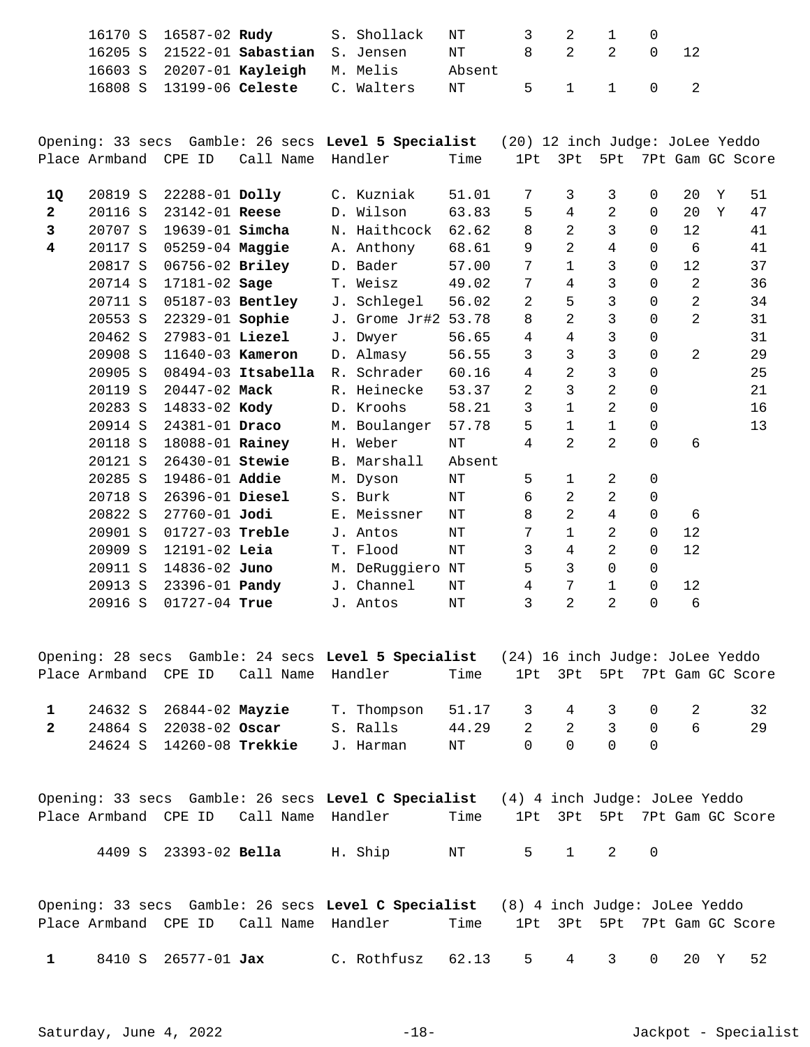|                         | 16170 S<br>16205 S | 16587-02 Rudy          | $21522 - 01$ Sabastian | S. Shollack<br>S. Jensen                            | NT<br>ΝT     | 3<br>8                          | 2<br>$\overline{2}$ | $\mathbf{1}$<br>$\overline{2}$ | $\mathbf 0$<br>$\mathbf 0$ | 12             |   |                  |
|-------------------------|--------------------|------------------------|------------------------|-----------------------------------------------------|--------------|---------------------------------|---------------------|--------------------------------|----------------------------|----------------|---|------------------|
|                         | 16603 S<br>16808 S | 13199-06 Celeste       | 20207-01 Kayleigh      | M. Melis<br>C. Walters                              | Absent<br>NT | 5                               | $\mathbf{1}$        | $\mathbf{1}$                   | $\mathbf 0$                | 2              |   |                  |
|                         |                    |                        |                        |                                                     |              |                                 |                     |                                |                            |                |   |                  |
|                         |                    |                        |                        | Opening: 33 secs Gamble: 26 secs Level 5 Specialist |              | (20) 12 inch Judge: JoLee Yeddo |                     |                                |                            |                |   |                  |
|                         | Place Armband      | CPE ID                 | Call Name              | Handler                                             | Time         | 1Pt                             | 3Pt                 | 5Pt                            |                            |                |   | 7Pt Gam GC Score |
| 1Q                      | 20819 S            | 22288-01 Dolly         |                        | C. Kuzniak                                          | 51.01        | 7                               | 3                   | 3                              | $\Omega$                   | 20             | Y | 51               |
| $\mathbf{2}$            | 20116 S            | 23142-01 Reese         |                        | D. Wilson                                           | 63.83        | 5                               | 4                   | 2                              | $\Omega$                   | 20             | Y | 47               |
| 3                       | 20707 S            | 19639-01 <b>Simcha</b> |                        | N. Haithcock                                        | 62.62        | 8                               | $\overline{2}$      | 3                              | $\Omega$                   | 12             |   | 41               |
| $\overline{\mathbf{4}}$ | 20117 S            | 05259-04 Maggie        |                        | A. Anthony                                          | 68.61        | 9                               | $\overline{2}$      | 4                              | $\mathbf 0$                | 6              |   | 41               |
|                         | 20817 S            | 06756-02 Briley        |                        | D. Bader                                            | 57.00        | 7                               | $\mathbf 1$         | 3                              | $\Omega$                   | 12             |   | 37               |
|                         | 20714 S            | 17181-02 Sage          |                        | T. Weisz                                            | 49.02        | 7                               | 4                   | 3                              | $\Omega$                   | $\overline{a}$ |   | 36               |
|                         | 20711 S            |                        | 05187-03 Bentley       | J. Schlegel                                         | 56.02        | 2                               | 5                   | 3                              | $\Omega$                   | 2              |   | 34               |
|                         | 20553 S            | 22329-01 Sophie        |                        | J. Grome Jr#2                                       | 53.78        | 8                               | $\overline{2}$      | 3                              | $\Omega$                   | $\overline{2}$ |   | 31               |
|                         | 20462 S            | 27983-01 Liezel        |                        | J. Dwyer                                            | 56.65        | 4                               | $\overline{4}$      | 3                              | $\mathbf 0$                |                |   | 31               |
|                         | 20908 S            | 11640-03 Kameron       |                        | D. Almasy                                           | 56.55        | 3                               | 3                   | 3                              | $\Omega$                   | $\overline{a}$ |   | 29               |
|                         | 20905 S            |                        | $08494-03$ Itsabella   | R. Schrader                                         | 60.16        | 4                               | 2                   | 3                              | $\Omega$                   |                |   | 25               |
|                         | 20119 S            | 20447-02 Mack          |                        | R. Heinecke                                         | 53.37        | 2                               | 3                   | 2                              | $\mathbf 0$                |                |   | 21               |
|                         | 20283 S            | 14833-02 Kody          |                        | D. Kroohs                                           | 58.21        | 3                               | $\mathbf 1$         | 2                              | $\mathbf 0$                |                |   | 16               |
|                         | 20914 S            | 24381-01 Draco         |                        | M. Boulanger                                        | 57.78        | 5                               | $\mathbf{1}$        | $\mathbf{1}$                   | $\mathsf 0$                |                |   | 13               |
|                         | 20118 S            | 18088-01 Rainey        |                        | H. Weber                                            | NΤ           | 4                               | $\mathcal{L}$       | $\overline{2}$                 | $\Omega$                   | 6              |   |                  |

|   |                          | Opening: 28 secs Gamble: 24 secs Level 5 Specialist (24) 16 inch Judge: JoLee Yeddo<br>Place Armband  CPE ID   Call Name  Handler |             | Time  | 1Pt 3Pt 5Pt 7Pt Gam GC Score |     |                                         |                |   |    |
|---|--------------------------|-----------------------------------------------------------------------------------------------------------------------------------|-------------|-------|------------------------------|-----|-----------------------------------------|----------------|---|----|
|   | 24632 S 26844-02 Mayzie  |                                                                                                                                   | T. Thompson |       | 51.17 3 4 3 0 2              |     |                                         |                |   | 32 |
| 2 | 24864 S 22038-02 Oscar   |                                                                                                                                   | S. Ralls    | 44.29 | $\overline{2}$               | 2 3 |                                         | $\overline{0}$ | 6 | 29 |
|   | 24624 S 14260-08 Trekkie |                                                                                                                                   | J. Harman   | NT    |                              |     | $\begin{matrix} 0 & 0 & 0 \end{matrix}$ |                |   |    |

 20285 S 19486-01 M. Dyson NT 5 1 2 0 **Addie**  20718 S 26396-01 S. Burk NT 6 2 2 0 **Diesel** 

 20822 S 27760-01 E. Meissner NT 8 2 4 0 6 **Jodi**  20901 S 01727-03 J. Antos NT 7 1 2 0 12 **Treble**  20909 S 12191-02 T. Flood NT 3 4 2 0 12 **Leia**  20911 S 14836-02 M. DeRuggiero NT 5 3 0 0 **Juno** 

20913 S 23396-01 **Pandy** J. Channel NT 4 7 1 0 12 20916 S 01727-04 J. Antos NT 3 2 2 0 6 **True** 

20121 S 26430-01 B. Marshall Absent **Stewie** 

|                                        |                       |  |         | Opening: 33 secs Gamble: 26 secs Level C Specialist (4) 4 inch Judge: JoLee Yeddo |  |                              |  |  |
|----------------------------------------|-----------------------|--|---------|-----------------------------------------------------------------------------------|--|------------------------------|--|--|
| Place Armband CPE ID Call Name Handler |                       |  |         | Time                                                                              |  | 1Pt 3Pt 5Pt 7Pt Gam GC Score |  |  |
|                                        | 4409 S 23393-02 Bella |  | H. Ship | NT 5 1 2 0                                                                        |  |                              |  |  |

|              |                     |  | Opening: 33 secs  Gamble: 26 secs Level C Specialist   (8) 4 inch Judge: JoLee Yeddo |      |  |                              |  |  |
|--------------|---------------------|--|--------------------------------------------------------------------------------------|------|--|------------------------------|--|--|
|              |                     |  | Place Armband CPE ID Call Name Handler                                               | Time |  | 1Pt 3Pt 5Pt 7Pt Gam GC Score |  |  |
| $\mathbf{1}$ | 8410 S 26577-01 Jax |  | C. Rothfusz $62.13$ 5 $4$ 3 0 20 Y 52                                                |      |  |                              |  |  |